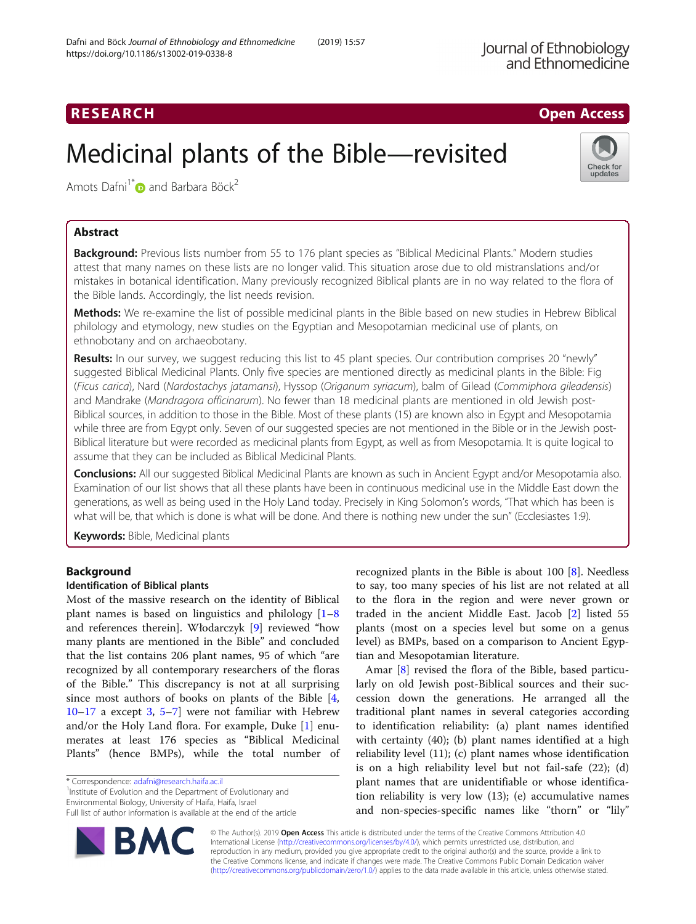## RESEARCH **RESEARCH CHOOSE ACCESS**

# Medicinal plants of the Bible—revisited



Amots Dafni<sup>1\*</sup> and Barbara Böck<sup>2</sup>

### Abstract

Background: Previous lists number from 55 to 176 plant species as "Biblical Medicinal Plants." Modern studies attest that many names on these lists are no longer valid. This situation arose due to old mistranslations and/or mistakes in botanical identification. Many previously recognized Biblical plants are in no way related to the flora of the Bible lands. Accordingly, the list needs revision.

Methods: We re-examine the list of possible medicinal plants in the Bible based on new studies in Hebrew Biblical philology and etymology, new studies on the Egyptian and Mesopotamian medicinal use of plants, on ethnobotany and on archaeobotany.

Results: In our survey, we suggest reducing this list to 45 plant species. Our contribution comprises 20 "newly" suggested Biblical Medicinal Plants. Only five species are mentioned directly as medicinal plants in the Bible: Fig (Ficus carica), Nard (Nardostachys jatamansi), Hyssop (Origanum syriacum), balm of Gilead (Commiphora gileadensis) and Mandrake (Mandragora officinarum). No fewer than 18 medicinal plants are mentioned in old Jewish post-Biblical sources, in addition to those in the Bible. Most of these plants (15) are known also in Egypt and Mesopotamia while three are from Egypt only. Seven of our suggested species are not mentioned in the Bible or in the Jewish post-Biblical literature but were recorded as medicinal plants from Egypt, as well as from Mesopotamia. It is quite logical to assume that they can be included as Biblical Medicinal Plants.

Conclusions: All our suggested Biblical Medicinal Plants are known as such in Ancient Egypt and/or Mesopotamia also. Examination of our list shows that all these plants have been in continuous medicinal use in the Middle East down the generations, as well as being used in the Holy Land today. Precisely in King Solomon's words, "That which has been is what will be, that which is done is what will be done. And there is nothing new under the sun" (Ecclesiastes 1:9).

**Keywords: Bible, Medicinal plants** 

#### Background

#### Identification of Biblical plants

Most of the massive research on the identity of Biblical plant names is based on linguistics and philology [[1](#page-11-0)–[8](#page-11-0) and references therein]. Włodarczyk [[9\]](#page-11-0) reviewed "how many plants are mentioned in the Bible" and concluded that the list contains 206 plant names, 95 of which "are recognized by all contemporary researchers of the floras of the Bible." This discrepancy is not at all surprising since most authors of books on plants of the Bible [\[4](#page-11-0), [10](#page-11-0)–[17](#page-11-0) a except [3](#page-11-0), [5](#page-11-0)–[7](#page-11-0)] were not familiar with Hebrew and/or the Holy Land flora. For example, Duke [\[1](#page-11-0)] enumerates at least 176 species as "Biblical Medicinal Plants" (hence BMPs), while the total number of

\* Correspondence: [adafni@research.haifa.ac.il](mailto:adafni@research.haifa.ac.il) <sup>1</sup>

<sup>1</sup> Institute of Evolution and the Department of Evolutionary and Environmental Biology, University of Haifa, Haifa, Israel

Full list of author information is available at the end of the article



recognized plants in the Bible is about  $100$   $[8]$  $[8]$ . Needless to say, too many species of his list are not related at all to the flora in the region and were never grown or traded in the ancient Middle East. Jacob [\[2](#page-11-0)] listed 55 plants (most on a species level but some on a genus level) as BMPs, based on a comparison to Ancient Egyptian and Mesopotamian literature.

Amar [[8\]](#page-11-0) revised the flora of the Bible, based particularly on old Jewish post-Biblical sources and their succession down the generations. He arranged all the traditional plant names in several categories according to identification reliability: (a) plant names identified with certainty (40); (b) plant names identified at a high reliability level (11); (c) plant names whose identification is on a high reliability level but not fail-safe (22); (d) plant names that are unidentifiable or whose identification reliability is very low (13); (e) accumulative names and non-species-specific names like "thorn" or "lily"

© The Author(s). 2019 Open Access This article is distributed under the terms of the Creative Commons Attribution 4.0 International License [\(http://creativecommons.org/licenses/by/4.0/](http://creativecommons.org/licenses/by/4.0/)), which permits unrestricted use, distribution, and reproduction in any medium, provided you give appropriate credit to the original author(s) and the source, provide a link to the Creative Commons license, and indicate if changes were made. The Creative Commons Public Domain Dedication waiver [\(http://creativecommons.org/publicdomain/zero/1.0/](http://creativecommons.org/publicdomain/zero/1.0/)) applies to the data made available in this article, unless otherwise stated.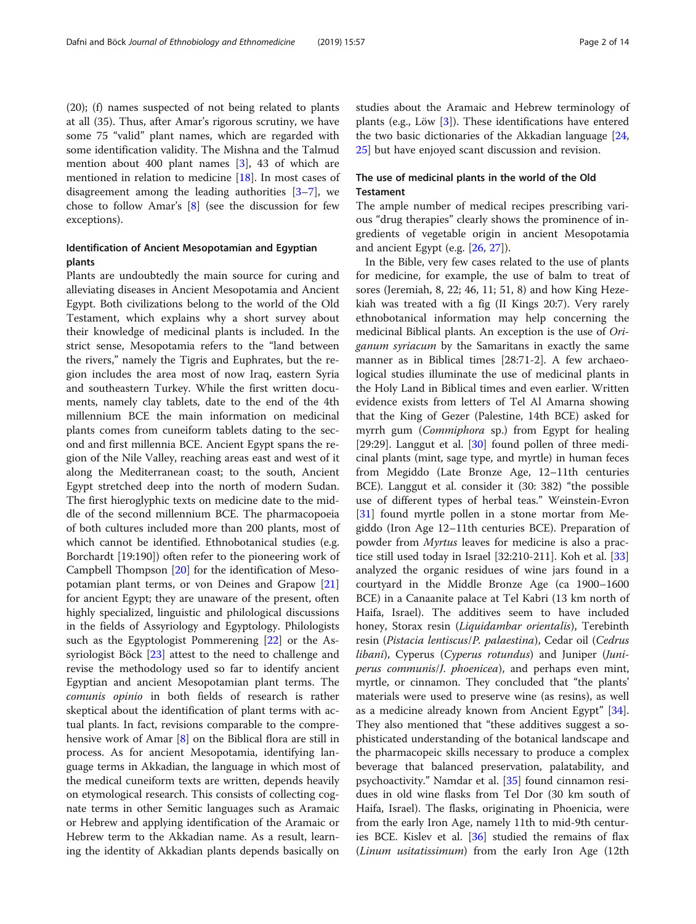(20); (f) names suspected of not being related to plants at all (35). Thus, after Amar's rigorous scrutiny, we have some 75 "valid" plant names, which are regarded with some identification validity. The Mishna and the Talmud mention about 400 plant names [[3\]](#page-11-0), 43 of which are mentioned in relation to medicine [[18\]](#page-11-0). In most cases of disagreement among the leading authorities [\[3](#page-11-0)–[7\]](#page-11-0), we chose to follow Amar's [\[8](#page-11-0)] (see the discussion for few exceptions).

#### Identification of Ancient Mesopotamian and Egyptian plants

Plants are undoubtedly the main source for curing and alleviating diseases in Ancient Mesopotamia and Ancient Egypt. Both civilizations belong to the world of the Old Testament, which explains why a short survey about their knowledge of medicinal plants is included. In the strict sense, Mesopotamia refers to the "land between the rivers," namely the Tigris and Euphrates, but the region includes the area most of now Iraq, eastern Syria and southeastern Turkey. While the first written documents, namely clay tablets, date to the end of the 4th millennium BCE the main information on medicinal plants comes from cuneiform tablets dating to the second and first millennia BCE. Ancient Egypt spans the region of the Nile Valley, reaching areas east and west of it along the Mediterranean coast; to the south, Ancient Egypt stretched deep into the north of modern Sudan. The first hieroglyphic texts on medicine date to the middle of the second millennium BCE. The pharmacopoeia of both cultures included more than 200 plants, most of which cannot be identified. Ethnobotanical studies (e.g. Borchardt [19:190]) often refer to the pioneering work of Campbell Thompson [[20\]](#page-11-0) for the identification of Mesopotamian plant terms, or von Deines and Grapow [[21](#page-11-0)] for ancient Egypt; they are unaware of the present, often highly specialized, linguistic and philological discussions in the fields of Assyriology and Egyptology. Philologists such as the Egyptologist Pommerening [[22\]](#page-11-0) or the Assyriologist Böck [[23](#page-11-0)] attest to the need to challenge and revise the methodology used so far to identify ancient Egyptian and ancient Mesopotamian plant terms. The comunis opinio in both fields of research is rather skeptical about the identification of plant terms with actual plants. In fact, revisions comparable to the comprehensive work of Amar [\[8](#page-11-0)] on the Biblical flora are still in process. As for ancient Mesopotamia, identifying language terms in Akkadian, the language in which most of the medical cuneiform texts are written, depends heavily on etymological research. This consists of collecting cognate terms in other Semitic languages such as Aramaic or Hebrew and applying identification of the Aramaic or Hebrew term to the Akkadian name. As a result, learning the identity of Akkadian plants depends basically on studies about the Aramaic and Hebrew terminology of plants (e.g., Löw [\[3](#page-11-0)]). These identifications have entered the two basic dictionaries of the Akkadian language [[24](#page-11-0), [25\]](#page-11-0) but have enjoyed scant discussion and revision.

#### The use of medicinal plants in the world of the Old Testament

The ample number of medical recipes prescribing various "drug therapies" clearly shows the prominence of ingredients of vegetable origin in ancient Mesopotamia and ancient Egypt (e.g. [\[26,](#page-11-0) [27\]](#page-11-0)).

In the Bible, very few cases related to the use of plants for medicine, for example, the use of balm to treat of sores (Jeremiah, 8, 22; 46, 11; 51, 8) and how King Hezekiah was treated with a fig (II Kings 20:7). Very rarely ethnobotanical information may help concerning the medicinal Biblical plants. An exception is the use of Origanum syriacum by the Samaritans in exactly the same manner as in Biblical times [28:71-2]. A few archaeological studies illuminate the use of medicinal plants in the Holy Land in Biblical times and even earlier. Written evidence exists from letters of Tel Al Amarna showing that the King of Gezer (Palestine, 14th BCE) asked for myrrh gum (*Commiphora* sp.) from Egypt for healing [29:29]. Langgut et al. [[30\]](#page-11-0) found pollen of three medicinal plants (mint, sage type, and myrtle) in human feces from Megiddo (Late Bronze Age, 12–11th centuries BCE). Langgut et al. consider it (30: 382) "the possible use of different types of herbal teas." Weinstein-Evron [[31\]](#page-11-0) found myrtle pollen in a stone mortar from Megiddo (Iron Age 12–11th centuries BCE). Preparation of powder from Myrtus leaves for medicine is also a practice still used today in Israel [32:210-211]. Koh et al. [[33](#page-11-0)] analyzed the organic residues of wine jars found in a courtyard in the Middle Bronze Age (ca 1900–1600 BCE) in a Canaanite palace at Tel Kabri (13 km north of Haifa, Israel). The additives seem to have included honey, Storax resin (Liquidambar orientalis), Terebinth resin (Pistacia lentiscus/P. palaestina), Cedar oil (Cedrus libani), Cyperus (Cyperus rotundus) and Juniper (Juniperus communis/J. phoenicea), and perhaps even mint, myrtle, or cinnamon. They concluded that "the plants' materials were used to preserve wine (as resins), as well as a medicine already known from Ancient Egypt" [\[34](#page-11-0)]. They also mentioned that "these additives suggest a sophisticated understanding of the botanical landscape and the pharmacopeic skills necessary to produce a complex beverage that balanced preservation, palatability, and psychoactivity." Namdar et al. [\[35](#page-11-0)] found cinnamon residues in old wine flasks from Tel Dor (30 km south of Haifa, Israel). The flasks, originating in Phoenicia, were from the early Iron Age, namely 11th to mid-9th centuries BCE. Kislev et al. [[36\]](#page-11-0) studied the remains of flax (Linum usitatissimum) from the early Iron Age (12th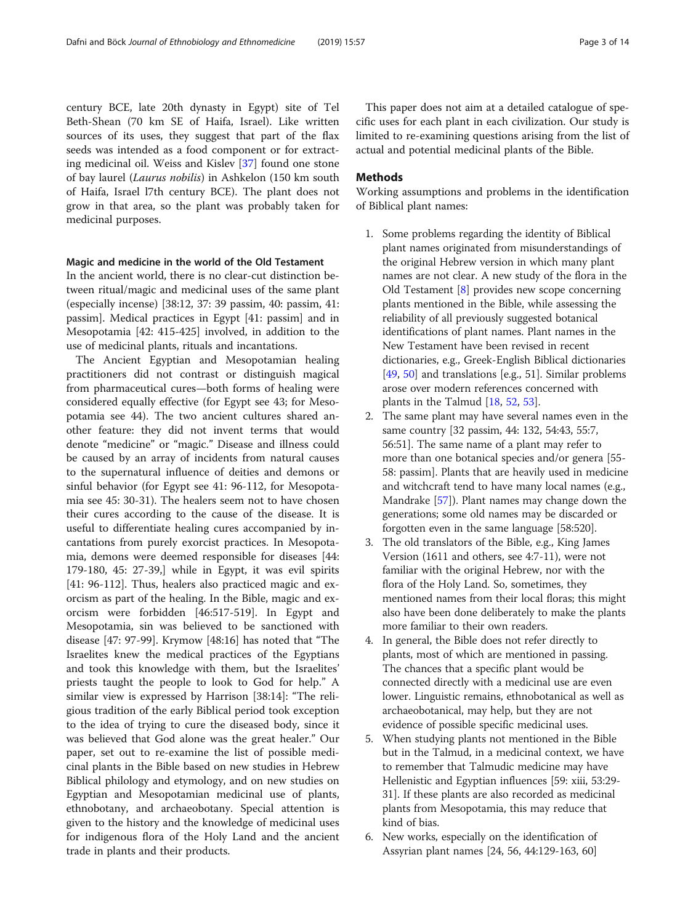century BCE, late 20th dynasty in Egypt) site of Tel Beth-Shean (70 km SE of Haifa, Israel). Like written sources of its uses, they suggest that part of the flax seeds was intended as a food component or for extracting medicinal oil. Weiss and Kislev [\[37](#page-11-0)] found one stone of bay laurel (Laurus nobilis) in Ashkelon (150 km south of Haifa, Israel l7th century BCE). The plant does not grow in that area, so the plant was probably taken for medicinal purposes.

#### Magic and medicine in the world of the Old Testament

In the ancient world, there is no clear-cut distinction between ritual/magic and medicinal uses of the same plant (especially incense) [38:12, 37: 39 passim, 40: passim, 41: passim]. Medical practices in Egypt [41: passim] and in Mesopotamia [42: 415-425] involved, in addition to the use of medicinal plants, rituals and incantations.

The Ancient Egyptian and Mesopotamian healing practitioners did not contrast or distinguish magical from pharmaceutical cures—both forms of healing were considered equally effective (for Egypt see 43; for Mesopotamia see 44). The two ancient cultures shared another feature: they did not invent terms that would denote "medicine" or "magic." Disease and illness could be caused by an array of incidents from natural causes to the supernatural influence of deities and demons or sinful behavior (for Egypt see 41: 96-112, for Mesopotamia see 45: 30-31). The healers seem not to have chosen their cures according to the cause of the disease. It is useful to differentiate healing cures accompanied by incantations from purely exorcist practices. In Mesopotamia, demons were deemed responsible for diseases [44: 179-180, 45: 27-39,] while in Egypt, it was evil spirits [41: 96-112]. Thus, healers also practiced magic and exorcism as part of the healing. In the Bible, magic and exorcism were forbidden [46:517-519]. In Egypt and Mesopotamia, sin was believed to be sanctioned with disease [47: 97-99]. Krymow [48:16] has noted that "The Israelites knew the medical practices of the Egyptians and took this knowledge with them, but the Israelites' priests taught the people to look to God for help." A similar view is expressed by Harrison [38:14]: "The religious tradition of the early Biblical period took exception to the idea of trying to cure the diseased body, since it was believed that God alone was the great healer." Our paper, set out to re-examine the list of possible medicinal plants in the Bible based on new studies in Hebrew Biblical philology and etymology, and on new studies on Egyptian and Mesopotamian medicinal use of plants, ethnobotany, and archaeobotany. Special attention is given to the history and the knowledge of medicinal uses for indigenous flora of the Holy Land and the ancient trade in plants and their products.

This paper does not aim at a detailed catalogue of specific uses for each plant in each civilization. Our study is limited to re-examining questions arising from the list of actual and potential medicinal plants of the Bible.

#### **Methods**

Working assumptions and problems in the identification of Biblical plant names:

- 1. Some problems regarding the identity of Biblical plant names originated from misunderstandings of the original Hebrew version in which many plant names are not clear. A new study of the flora in the Old Testament [\[8](#page-11-0)] provides new scope concerning plants mentioned in the Bible, while assessing the reliability of all previously suggested botanical identifications of plant names. Plant names in the New Testament have been revised in recent dictionaries, e.g., Greek-English Biblical dictionaries [[49](#page-11-0), [50\]](#page-11-0) and translations [e.g., 51]. Similar problems arose over modern references concerned with plants in the Talmud [\[18](#page-11-0), [52,](#page-11-0) [53](#page-11-0)].
- 2. The same plant may have several names even in the same country [32 passim, 44: 132, 54:43, 55:7, 56:51]. The same name of a plant may refer to more than one botanical species and/or genera [55- 58: passim]. Plants that are heavily used in medicine and witchcraft tend to have many local names (e.g., Mandrake [\[57\]](#page-12-0)). Plant names may change down the generations; some old names may be discarded or forgotten even in the same language [58:520].
- 3. The old translators of the Bible, e.g., King James Version (1611 and others, see 4:7-11), were not familiar with the original Hebrew, nor with the flora of the Holy Land. So, sometimes, they mentioned names from their local floras; this might also have been done deliberately to make the plants more familiar to their own readers.
- 4. In general, the Bible does not refer directly to plants, most of which are mentioned in passing. The chances that a specific plant would be connected directly with a medicinal use are even lower. Linguistic remains, ethnobotanical as well as archaeobotanical, may help, but they are not evidence of possible specific medicinal uses.
- 5. When studying plants not mentioned in the Bible but in the Talmud, in a medicinal context, we have to remember that Talmudic medicine may have Hellenistic and Egyptian influences [59: xiii, 53:29- 31]. If these plants are also recorded as medicinal plants from Mesopotamia, this may reduce that kind of bias.
- 6. New works, especially on the identification of Assyrian plant names [24, 56, 44:129-163, 60]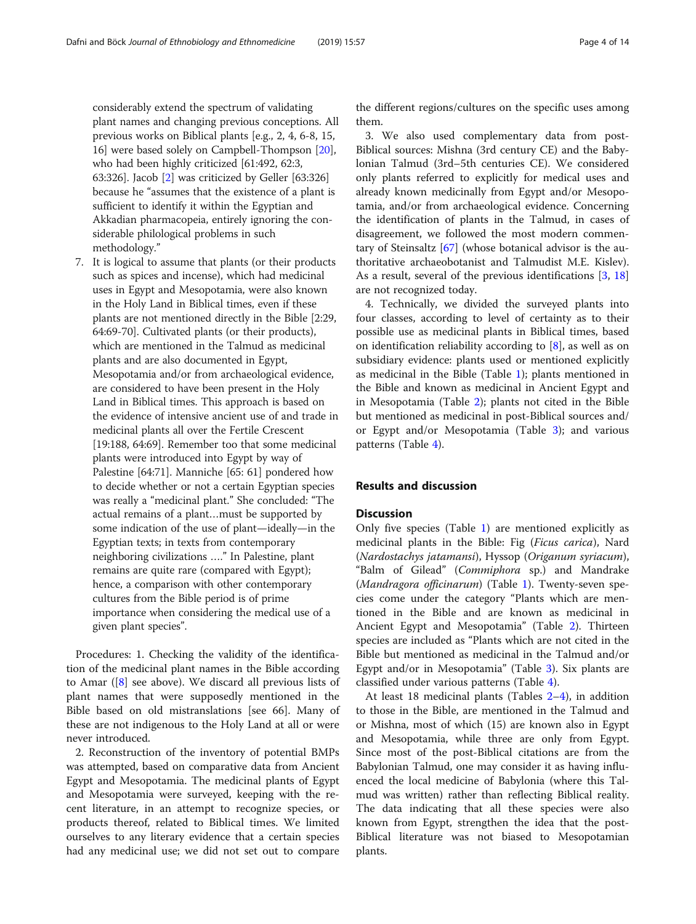considerably extend the spectrum of validating plant names and changing previous conceptions. All previous works on Biblical plants [e.g., 2, 4, 6-8, 15, 16] were based solely on Campbell-Thompson [[20\]](#page-11-0), who had been highly criticized [61:492, 62:3, 63:326]. Jacob [[2](#page-11-0)] was criticized by Geller [63:326] because he "assumes that the existence of a plant is sufficient to identify it within the Egyptian and Akkadian pharmacopeia, entirely ignoring the considerable philological problems in such methodology."

7. It is logical to assume that plants (or their products such as spices and incense), which had medicinal uses in Egypt and Mesopotamia, were also known in the Holy Land in Biblical times, even if these plants are not mentioned directly in the Bible [2:29, 64:69-70]. Cultivated plants (or their products), which are mentioned in the Talmud as medicinal plants and are also documented in Egypt, Mesopotamia and/or from archaeological evidence, are considered to have been present in the Holy Land in Biblical times. This approach is based on the evidence of intensive ancient use of and trade in medicinal plants all over the Fertile Crescent [19:188, 64:69]. Remember too that some medicinal plants were introduced into Egypt by way of Palestine [64:71]. Manniche [65: 61] pondered how to decide whether or not a certain Egyptian species was really a "medicinal plant." She concluded: "The actual remains of a plant…must be supported by some indication of the use of plant—ideally—in the Egyptian texts; in texts from contemporary neighboring civilizations …." In Palestine, plant remains are quite rare (compared with Egypt); hence, a comparison with other contemporary cultures from the Bible period is of prime importance when considering the medical use of a given plant species".

Procedures: 1. Checking the validity of the identification of the medicinal plant names in the Bible according to Amar ([[8](#page-11-0)] see above). We discard all previous lists of plant names that were supposedly mentioned in the Bible based on old mistranslations [see 66]. Many of these are not indigenous to the Holy Land at all or were never introduced.

2. Reconstruction of the inventory of potential BMPs was attempted, based on comparative data from Ancient Egypt and Mesopotamia. The medicinal plants of Egypt and Mesopotamia were surveyed, keeping with the recent literature, in an attempt to recognize species, or products thereof, related to Biblical times. We limited ourselves to any literary evidence that a certain species had any medicinal use; we did not set out to compare the different regions/cultures on the specific uses among them.

3. We also used complementary data from post-Biblical sources: Mishna (3rd century CE) and the Babylonian Talmud (3rd–5th centuries CE). We considered only plants referred to explicitly for medical uses and already known medicinally from Egypt and/or Mesopotamia, and/or from archaeological evidence. Concerning the identification of plants in the Talmud, in cases of disagreement, we followed the most modern commentary of Steinsaltz [[67](#page-12-0)] (whose botanical advisor is the authoritative archaeobotanist and Talmudist M.E. Kislev). As a result, several of the previous identifications [\[3](#page-11-0), [18](#page-11-0)] are not recognized today.

4. Technically, we divided the surveyed plants into four classes, according to level of certainty as to their possible use as medicinal plants in Biblical times, based on identification reliability according to [\[8](#page-11-0)], as well as on subsidiary evidence: plants used or mentioned explicitly as medicinal in the Bible (Table [1](#page-4-0)); plants mentioned in the Bible and known as medicinal in Ancient Egypt and in Mesopotamia (Table [2\)](#page-5-0); plants not cited in the Bible but mentioned as medicinal in post-Biblical sources and/ or Egypt and/or Mesopotamia (Table [3\)](#page-8-0); and various patterns (Table [4\)](#page-9-0).

#### Results and discussion

#### **Discussion**

Only five species (Table [1](#page-4-0)) are mentioned explicitly as medicinal plants in the Bible: Fig (Ficus carica), Nard (Nardostachys jatamansi), Hyssop (Origanum syriacum), "Balm of Gilead" (Commiphora sp.) and Mandrake (Mandragora officinarum) (Table [1\)](#page-4-0). Twenty-seven species come under the category "Plants which are mentioned in the Bible and are known as medicinal in Ancient Egypt and Mesopotamia" (Table [2](#page-5-0)). Thirteen species are included as "Plants which are not cited in the Bible but mentioned as medicinal in the Talmud and/or Egypt and/or in Mesopotamia" (Table [3](#page-8-0)). Six plants are classified under various patterns (Table [4\)](#page-9-0).

At least 18 medicinal plants (Tables [2](#page-5-0)–[4\)](#page-9-0), in addition to those in the Bible, are mentioned in the Talmud and or Mishna, most of which (15) are known also in Egypt and Mesopotamia, while three are only from Egypt. Since most of the post-Biblical citations are from the Babylonian Talmud, one may consider it as having influenced the local medicine of Babylonia (where this Talmud was written) rather than reflecting Biblical reality. The data indicating that all these species were also known from Egypt, strengthen the idea that the post-Biblical literature was not biased to Mesopotamian plants.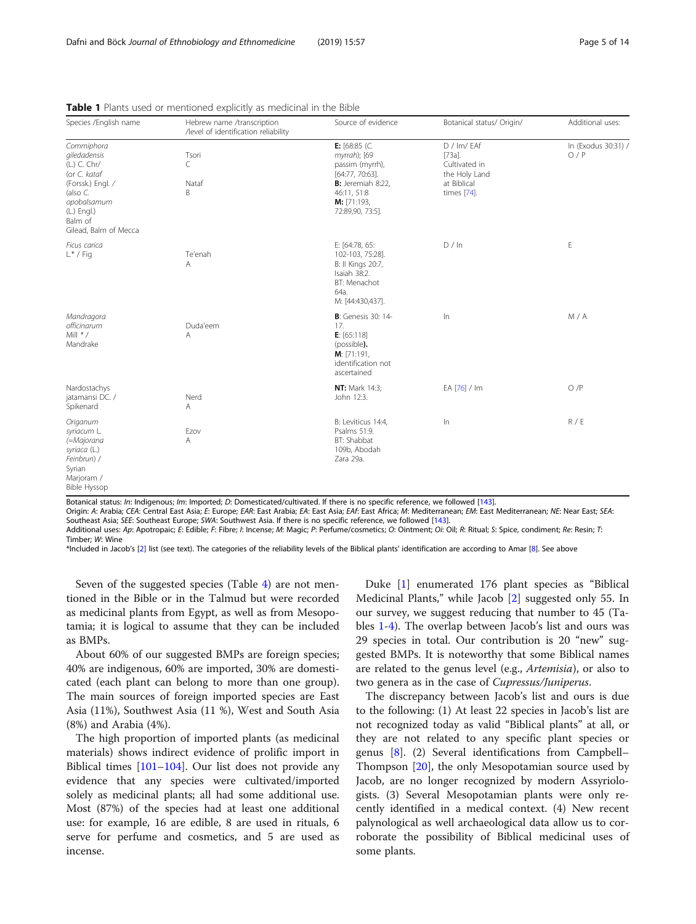| Species /English name                                                                                                                                         | Hebrew name /transcription<br>/level of identification reliability | Source of evidence                                                                                                                           | Botanical status/ Origin/                                                                | Additional uses:           |
|---------------------------------------------------------------------------------------------------------------------------------------------------------------|--------------------------------------------------------------------|----------------------------------------------------------------------------------------------------------------------------------------------|------------------------------------------------------------------------------------------|----------------------------|
| Commiphora<br>giledadensis<br>(L.) C. Chr/<br>(or C. kataf<br>(Forssk.) Engl. /<br>(also C.<br>opobalsamum<br>(L.) Engl.)<br>Balm of<br>Gilead, Balm of Mecca | Tsori<br>C<br>Nataf<br>B                                           | E: $[68:85$ (C.<br>myrrah); [69<br>passim (myrrh),<br>[64:77, 70:63].<br>B: Jeremiah 8:22,<br>46:11, 51:8<br>M: [71:193,<br>72:89,90, 73:5]. | D / Im/ EAf<br>$[73a]$ .<br>Cultivated in<br>the Holy Land<br>at Biblical<br>times [74]. | In (Exodus 30:31) /<br>O/P |
| Ficus carica<br>$L^*$ / Fig                                                                                                                                   | Te'enah<br>A                                                       | E: [64:78, 65:<br>102-103, 75:28].<br>B: II Kings 20:7,<br>Isaiah 38:2.<br>BT: Menachot<br>64a.<br>M: [44:430,437].                          | D / In                                                                                   | E                          |
| Mandragora<br>officinarum<br>Mill $*$ /<br>Mandrake                                                                                                           | Duda'eem<br>A                                                      | <b>B</b> : Genesis 30: 14-<br>17.<br>E: [65:118]<br>(possible).<br>M: [71:191]<br>identification not<br>ascertained                          | $\ln$                                                                                    | M/A                        |
| Nardostachys<br>jatamansi DC. /<br>Spikenard                                                                                                                  | Nerd<br>Α                                                          | <b>NT: Mark 14:3;</b><br>John 12:3.                                                                                                          | EA [76] / Im                                                                             | O/P                        |
| Origanum<br>syriacum L.<br>(=Majorana<br>syriaca (L.)<br>Feinbrun) /<br>Syrian<br>Marjoram /<br><b>Bible Hyssop</b>                                           | Ezov<br>A                                                          | B: Leviticus 14:4,<br>Psalms 51:9.<br>BT: Shabbat<br>109b, Abodah<br>Zara 29a.                                                               | In                                                                                       | R / E                      |

<span id="page-4-0"></span>Table 1 Plants used or mentioned explicitly as medicinal in the Bible

Botanical status: In: Indigenous; Im: Imported; D: Domesticated/cultivated. If there is no specific reference, we followed [[143](#page-13-0)].

Origin: A: Arabia; CEA: Central East Asia; E: Europe; EAR: East Arabia; EA: East Asia; EAf: East Africa; M: Mediterranean; EM: East Mediterranean; NE: Near East; SEA: Southeast Asia; SEE: Southeast Europe; SWA: Southwest Asia. If there is no specific reference, we followed [[143](#page-13-0)].

Additional uses: Ap: Apotropaic; E: Edible; F: Fibre; I: Incense; M: Magic; P: Perfume/cosmetics; O: Ointment; Oi: Oil; R: Ritual; S: Spice, condiment; Re: Resin; T: Timber; W: Wine

\*Included in Jacob's [[2](#page-11-0)] list (see text). The categories of the reliability levels of the Biblical plants' identification are according to Amar [[8](#page-11-0)]. See above

Seven of the suggested species (Table [4](#page-9-0)) are not mentioned in the Bible or in the Talmud but were recorded as medicinal plants from Egypt, as well as from Mesopotamia; it is logical to assume that they can be included as BMPs.

About 60% of our suggested BMPs are foreign species; 40% are indigenous, 60% are imported, 30% are domesticated (each plant can belong to more than one group). The main sources of foreign imported species are East Asia (11%), Southwest Asia (11 %), West and South Asia (8%) and Arabia (4%).

The high proportion of imported plants (as medicinal materials) shows indirect evidence of prolific import in Biblical times  $[101–104]$  $[101–104]$  $[101–104]$  $[101–104]$  $[101–104]$ . Our list does not provide any evidence that any species were cultivated/imported solely as medicinal plants; all had some additional use. Most (87%) of the species had at least one additional use: for example, 16 are edible, 8 are used in rituals, 6 serve for perfume and cosmetics, and 5 are used as incense.

Duke [\[1](#page-11-0)] enumerated 176 plant species as "Biblical Medicinal Plants," while Jacob [[2\]](#page-11-0) suggested only 55. In our survey, we suggest reducing that number to 45 (Tables 1-[4](#page-9-0)). The overlap between Jacob's list and ours was 29 species in total. Our contribution is 20 "new" suggested BMPs. It is noteworthy that some Biblical names are related to the genus level (e.g., Artemisia), or also to two genera as in the case of Cupressus/Juniperus.

The discrepancy between Jacob's list and ours is due to the following: (1) At least 22 species in Jacob's list are not recognized today as valid "Biblical plants" at all, or they are not related to any specific plant species or genus [\[8](#page-11-0)]. (2) Several identifications from Campbell– Thompson [\[20\]](#page-11-0), the only Mesopotamian source used by Jacob, are no longer recognized by modern Assyriologists. (3) Several Mesopotamian plants were only recently identified in a medical context. (4) New recent palynological as well archaeological data allow us to corroborate the possibility of Biblical medicinal uses of some plants.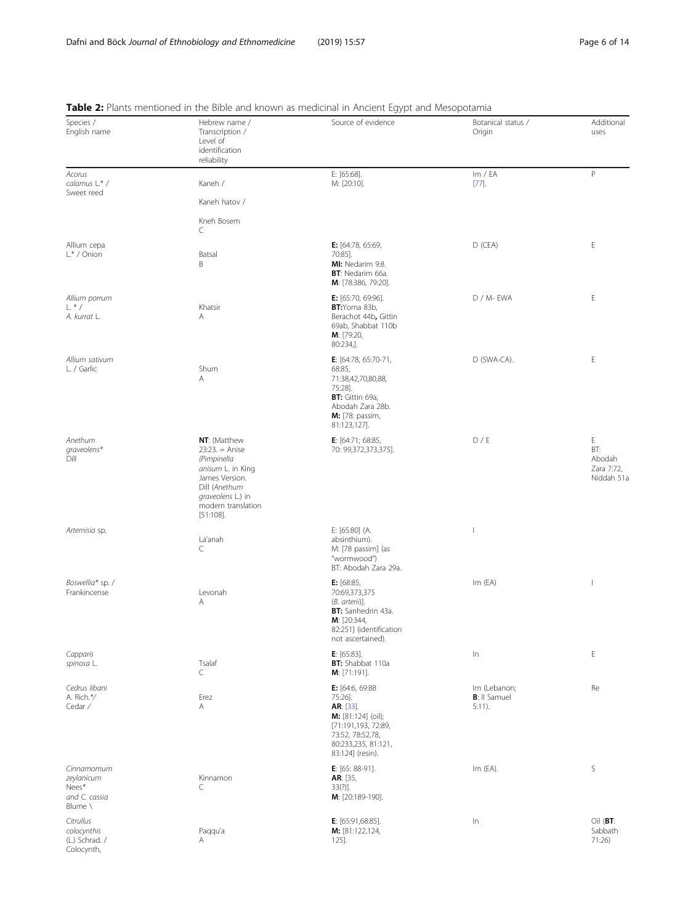| Species /<br>English name                                     | Hebrew name /<br>Transcription /<br>Level of<br>identification<br>reliability                                                                                             | <i>JI</i> 11<br>Source of evidence                                                                                                                  | Botanical status /<br>Origin                      | Additional<br>uses                             |
|---------------------------------------------------------------|---------------------------------------------------------------------------------------------------------------------------------------------------------------------------|-----------------------------------------------------------------------------------------------------------------------------------------------------|---------------------------------------------------|------------------------------------------------|
| Acorus<br>calamus L.* /<br>Sweet reed                         | Kaneh /                                                                                                                                                                   | E: [65:68].<br>M: [20:10].                                                                                                                          | Im / EA<br>$[77]$ .                               | $\mathsf{P}$                                   |
|                                                               | Kaneh hatov /<br>Kneh Bosem<br>C                                                                                                                                          |                                                                                                                                                     |                                                   |                                                |
| Allium cepa<br>$L^*$ / Onion                                  | Batsal<br>Β                                                                                                                                                               | E: [64:78, 65:69,<br>70:851.<br>MI: Nedarim 9:8.<br>BT: Nedarim 66a.<br>M: [78:386, 79:20].                                                         | $D$ (CEA)                                         | Е                                              |
| Allium porrum<br>$L^*/$<br>A. kurrat L.                       | Khatsir<br>Α                                                                                                                                                              | E: [65:70, 69:96].<br>BT:Yoma 83b,<br>Berachot 44b, Gittin<br>69ab, Shabbat 110b<br>M: [79:20,<br>80:234,].                                         | D / M- EWA                                        | Ε                                              |
| Allium sativum<br>L. / Garlic                                 | Shum<br>Α                                                                                                                                                                 | <b>E</b> : $[64:78, 65:70-71,$<br>68:85,<br>71:38,42,70,80,88,<br>75:28].<br>BT: Gittin 69a,<br>Abodah Zara 28b.<br>M: [78: passim,<br>81:123,127]. | D (SWA-CA).                                       | E                                              |
| Anethum<br>graveolens*<br>Dill                                | NT: (Matthew<br>$23:23. = \text{Anise}$<br>(Pimpinella<br>anisum L. in King<br>James Version.<br>Dill (Anethum<br>graveolens L.) in<br>modern translation<br>$[51:108]$ . | <b>E</b> : $[64:71; 68:85,$<br>70: 99,372,373,375].                                                                                                 | D/E                                               | E<br>BT:<br>Abodah<br>Zara 7:72,<br>Niddah 51a |
| Artemisia sp.                                                 | La'anah<br>C                                                                                                                                                              | E: [65:80] (A.<br>absinthium).<br>M: [78 passim] (as<br>"wormwood")<br>BT: Abodah Zara 29a.                                                         | $\overline{\phantom{a}}$                          |                                                |
| Boswellia* sp. /<br>Frankincense                              | Levonah<br>Α                                                                                                                                                              | <b>E:</b> $[68:85,$<br>70:69,373,375<br>(B. arterii)].<br>BT: Sanhedrin 43a.<br>M: [20:344,<br>82:251] (identification<br>not ascertained).         | Im(EA)                                            | $\mathbf{I}$                                   |
| Capparis<br>spinosa L.                                        | Tsalaf<br>C                                                                                                                                                               | $E: [65:83]$ .<br>BT: Shabbat 110a<br>M: [71:191].                                                                                                  | $\ln$                                             | $\mathsf E$                                    |
| Cedrus libani<br>A. Rich.*/<br>Cedar /                        | Erez<br>Α                                                                                                                                                                 | E: [64:6, 69:88<br>75:26].<br>AR: [33].<br>M: [81:124] (oil);<br>[71:191,193, 72:89,<br>73:52, 78:52,78,<br>80:233,235, 81:121,<br>83:124] (resin). | Im (Lebanon;<br><b>B</b> : Il Samuel<br>$5:11$ ). | Re                                             |
| Cinnamomum<br>zeylanicum<br>Nees*<br>and C. cassia<br>Blume \ | Kinnamon<br>C                                                                                                                                                             | E: $[65: 88-91]$ .<br>AR: [35,<br>33(?)].<br>M: [20:189-190].                                                                                       | $Im$ (EA).                                        | S                                              |
| Citrullus<br>colocynthis<br>(L.) Schrad. /<br>Colocynth,      | Paqqu'a<br>Α                                                                                                                                                              | E: $[65:91,68:85]$ .<br>M: [81:122,124,<br>125].                                                                                                    | $\ln$                                             | $Oil$ (BT:<br>Sabbath<br>71:26)                |

<span id="page-5-0"></span>Table 2: Plants mentioned in the Bible and known as medicinal in Ancient Egypt and Mesopotamia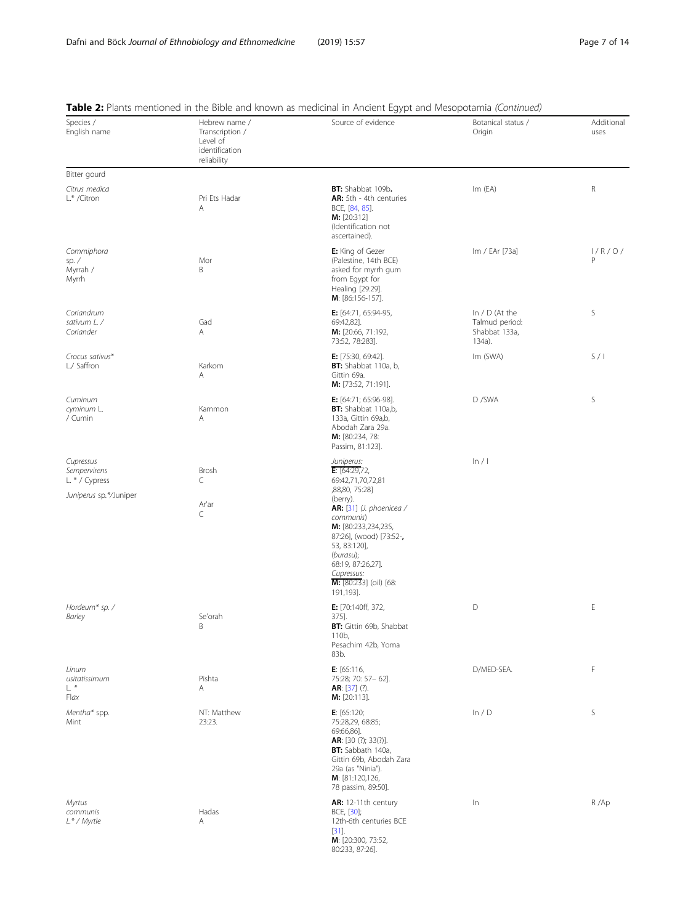| Species /<br>English name                       | Hebrew name /<br>Transcription /<br>Level of<br>identification<br>reliability | <b>Table 2.</b> Frants intentioned in the bible and Known as inequalitating in Andent Egypt and Mesopotamia (Committed)<br>Source of evidence                                                                                  | Botanical status /<br>Origin                                  | Additional<br>uses |
|-------------------------------------------------|-------------------------------------------------------------------------------|--------------------------------------------------------------------------------------------------------------------------------------------------------------------------------------------------------------------------------|---------------------------------------------------------------|--------------------|
| Bitter gourd                                    |                                                                               |                                                                                                                                                                                                                                |                                                               |                    |
| Citrus medica<br>L.* /Citron                    | Pri Ets Hadar<br>Α                                                            | BT: Shabbat 109b.<br>AR: 5th - 4th centuries<br>BCE, [84, 85].<br>M: [20:312]<br>(Identification not<br>ascertained).                                                                                                          | Im(EA)                                                        | R                  |
| Commiphora<br>sp. $\angle$<br>Myrrah /<br>Myrrh | Mor<br>B                                                                      | E: King of Gezer<br>(Palestine, 14th BCE)<br>asked for myrrh gum<br>from Egypt for<br>Healing [29:29].<br>M: [86:156-157].                                                                                                     | Im / EAr [73a]                                                | 1/R/O/<br>P        |
| Coriandrum<br>sativum L. /<br>Coriander         | Gad<br>Α                                                                      | <b>E:</b> $[64:71, 65:94-95,$<br>69:42,82].<br>M: [20:66, 71:192,<br>73:52, 78:283].                                                                                                                                           | In $/$ D (At the<br>Talmud period:<br>Shabbat 133a,<br>134a). | S                  |
| Crocus sativus*<br>L./ Saffron                  | Karkom<br>Α                                                                   | E: [75:30, 69:42].<br>BT: Shabbat 110a, b,<br>Gittin 69a.<br>M: [73:52, 71:191].                                                                                                                                               | Im (SWA)                                                      | S/1                |
| Cuminum<br>cyminum L.<br>/ Cumin                | Kammon<br>Α                                                                   | E: [64:71; 65:96-98].<br>BT: Shabbat 110a,b,<br>133a, Gittin 69a,b,<br>Abodah Zara 29a.<br>M: [80:234, 78:<br>Passim, 81:123].                                                                                                 | D/SWA                                                         | S                  |
| Cupressus<br>Sempervirens<br>L. * / Cypress     | Brosh<br>C                                                                    | Juniperus:<br>E: [64:29,72]<br>69:42,71,70,72,81                                                                                                                                                                               | ln/1                                                          |                    |
| Juniperus sp.*/Juniper                          | Ar'ar<br>C                                                                    | ,88,80, 75:28]<br>(berry).<br>AR: $[31]$ (J. phoenicea /<br>communis)<br>M: [80:233,234,235,<br>87:26], (wood) [73:52-,<br>53, 83:120],<br>(burasu);<br>68:19, 87:26,27].<br>Cupressus:<br>M: [80:233] (oil) [68:<br>191,193]. |                                                               |                    |
| Hordeum* sp. /<br>Barley                        | Se'orah<br>Β                                                                  | E: [70:140ff, 372,<br>375].<br>BT: Gittin 69b, Shabbat<br>110b,<br>Pesachim 42b, Yoma<br>83b.                                                                                                                                  | D                                                             | E                  |
| Linum<br>usitatissimum<br>L *<br>Flax           | Pishta<br>Α                                                                   | <b>E</b> : $[65:116,$<br>75:28; 70: 57- 62].<br>AR: $[37]$ (?).<br>$M: [20:113]$ .                                                                                                                                             | D/MED-SEA.                                                    | F                  |
| Mentha* spp.<br>Mint                            | NT: Matthew<br>23:23.                                                         | E: $[65:120;$<br>75:28,29, 68:85;<br>69:66,86].<br>AR: [30 (?); 33(?)].<br><b>BT:</b> Sabbath 140a,<br>Gittin 69b, Abodah Zara<br>29a (as "Ninia").<br>M: [81:120,126,<br>78 passim, 89:50].                                   | ln/D                                                          | S                  |
| Myrtus<br>communis<br>$L^*/$ Myrtle             | Hadas<br>Α                                                                    | AR: 12-11th century<br>BCE, [30];<br>12th-6th centuries BCE<br>$[31]$ .<br>M: [20:300, 73:52,<br>80:233, 87:26].                                                                                                               | In                                                            | R/Ap               |

#### Table <sup>2</sup>: Plants mentioned in the Bible and known as medicinal in Ancient Fgypt and Mesopotamia *(Continued)*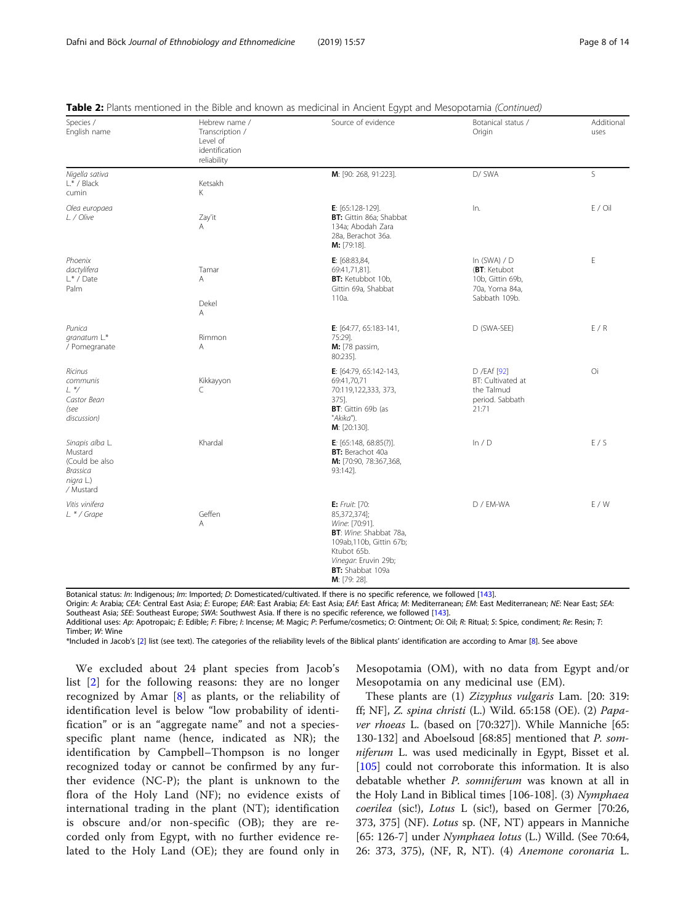| Species /<br>English name                                                          | Hebrew name /<br>Transcription /<br>Level of<br>identification<br>reliability | Source of evidence                                                                                                                                                                | Botanical status /<br>Origin                                                          | Additional<br>uses |
|------------------------------------------------------------------------------------|-------------------------------------------------------------------------------|-----------------------------------------------------------------------------------------------------------------------------------------------------------------------------------|---------------------------------------------------------------------------------------|--------------------|
| Nigella sativa<br>L.* / Black<br>cumin                                             | Ketsakh<br>Κ                                                                  | M: [90: 268, 91:223].                                                                                                                                                             | D/ SWA                                                                                | S                  |
| Olea europaea<br>L. / Olive                                                        | Zay'it<br>A                                                                   | E: $[65:128-129]$ .<br>BT: Gittin 86a; Shabbat<br>134a; Abodah Zara<br>28a, Berachot 36a.<br>M: [79:18].                                                                          | In.                                                                                   | $E /$ Oil          |
| Phoenix<br>dactylifera<br>$L^*$ / Date<br>Palm                                     | Tamar<br>A<br>Dekel<br>Α                                                      | E: [68:83,84,<br>69:41,71,81].<br>BT: Ketubbot 10b,<br>Gittin 69a, Shabbat<br>110a.                                                                                               | In $(SWA) / D$<br>(BT: Ketubot<br>10b, Gittin 69b,<br>70a, Yoma 84a,<br>Sabbath 109b. | E                  |
| Punica<br>granatum L.*<br>/ Pomegranate                                            | Rimmon<br>A                                                                   | E: [64:77, 65:183-141,<br>75:29].<br>M: [78 passim,<br>80:235].                                                                                                                   | D (SWA-SEE)                                                                           | E/R                |
| Ricinus<br>communis<br>$L.*/$<br>Castor Bean<br>(see<br>discussion)                | Kikkayyon<br>C                                                                | E: [64:79, 65:142-143,<br>69:41,70,71<br>70:119,122,333, 373,<br>375].<br>BT: Gittin 69b (as<br>"Akika").<br>M: [20:130].                                                         | D /EAf [92]<br>BT: Cultivated at<br>the Talmud<br>period. Sabbath<br>21:71            | Oi                 |
| Sinapis alba L.<br>Mustard<br>(Could be also<br>Brassica<br>nigra L.)<br>/ Mustard | Khardal                                                                       | <b>E</b> : $[65:148, 68:85(?)]$ .<br>BT: Berachot 40a<br>M: [70:90, 78:367,368,<br>93:142].                                                                                       | ln/D                                                                                  | E/S                |
| Vitis vinifera<br>L. * / Grape                                                     | Geffen<br>A                                                                   | E: Fruit: [70:<br>85,372,374];<br>Wine: [70:91].<br>BT: Wine: Shabbat 78a,<br>109ab, 110b, Gittin 67b;<br>Ktubot 65b.<br>Vinegar: Eruvin 29b;<br>BT: Shabbat 109a<br>M: [79: 28]. | D / EM-WA                                                                             | E / W              |

|  |  |  | Table 2: Plants mentioned in the Bible and known as medicinal in Ancient Egypt and Mesopotamia (Continued) |  |
|--|--|--|------------------------------------------------------------------------------------------------------------|--|
|  |  |  |                                                                                                            |  |

Botanical status: In: Indigenous; Im: Imported; D: Domesticated/cultivated. If there is no specific reference, we followed [[143](#page-13-0)].

Origin: A: Arabia; CEA: Central East Asia; E: Europe; EAR: East Arabia; EA: East Asia; EAf: East Africa; M: Mediterranean; EM: East Mediterranean; NE: Near East; SEA: Southeast Asia; SEE: Southeast Europe; SWA: Southwest Asia. If there is no specific reference, we followed [[143](#page-13-0)].

Additional uses: Ap: Apotropaic; E: Edible; F: Fibre; I: Incense; M: Magic; P: Perfume/cosmetics; O: Ointment; Oi: Oil; R: Ritual; S: Spice, condiment; Re: Resin; T: Timber; W: Wine

\*Included in Jacob's [[2](#page-11-0)] list (see text). The categories of the reliability levels of the Biblical plants' identification are according to Amar [[8](#page-11-0)]. See above

We excluded about 24 plant species from Jacob's list [\[2](#page-11-0)] for the following reasons: they are no longer recognized by Amar [\[8](#page-11-0)] as plants, or the reliability of identification level is below "low probability of identification" or is an "aggregate name" and not a speciesspecific plant name (hence, indicated as NR); the identification by Campbell–Thompson is no longer recognized today or cannot be confirmed by any further evidence (NC-P); the plant is unknown to the flora of the Holy Land (NF); no evidence exists of international trading in the plant (NT); identification is obscure and/or non-specific (OB); they are recorded only from Egypt, with no further evidence related to the Holy Land (OE); they are found only in

Mesopotamia (OM), with no data from Egypt and/or Mesopotamia on any medicinal use (EM).

These plants are (1) Zizyphus vulgaris Lam. [20: 319: ff; NF], Z. spina christi (L.) Wild. 65:158 (OE). (2) Papaver rhoeas L. (based on [70:327]). While Manniche [65: 130-132] and Aboelsoud [68:85] mentioned that P. somniferum L. was used medicinally in Egypt, Bisset et al. [[105\]](#page-12-0) could not corroborate this information. It is also debatable whether P. somniferum was known at all in the Holy Land in Biblical times [106-108]. (3) Nymphaea coerilea (sic!), Lotus L (sic!), based on Germer [70:26, 373, 375] (NF). Lotus sp. (NF, NT) appears in Manniche [65: 126-7] under *Nymphaea lotus* (L.) Willd. (See 70:64, 26: 373, 375), (NF, R, NT). (4) Anemone coronaria L.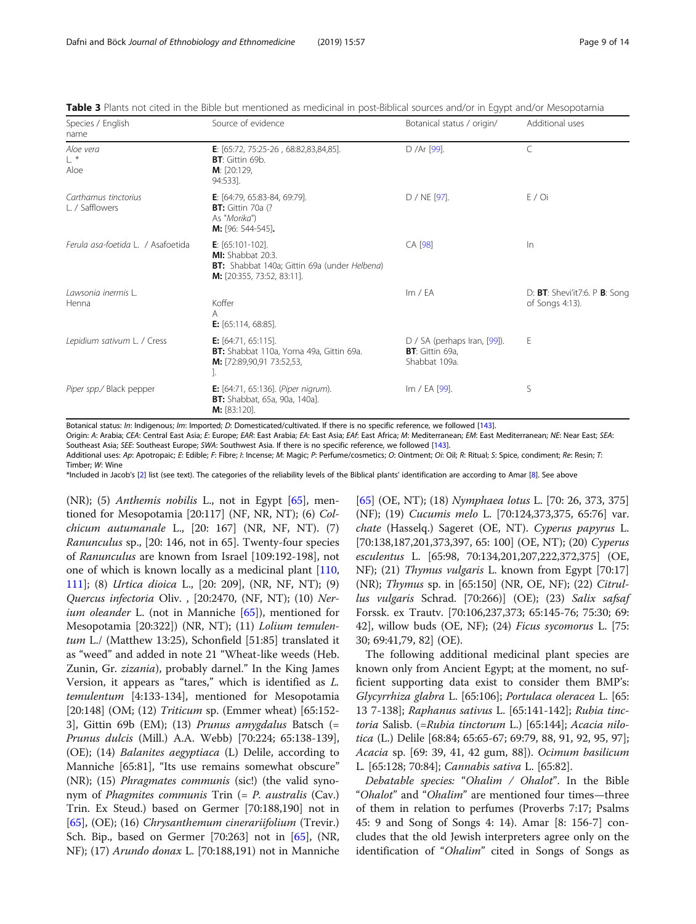| Species / English<br>name               | Source of evidence                                                                                                     | Botanical status / origin/                                         | Additional uses                                        |
|-----------------------------------------|------------------------------------------------------------------------------------------------------------------------|--------------------------------------------------------------------|--------------------------------------------------------|
| Aloe vera<br>$L^*$<br>Aloe              | E: $[65:72, 75:25-26, 68:82,83,84,85]$ .<br>BT: Gittin 69b.<br>M: [20:129,<br>94:533].                                 | D /Ar [99].                                                        | C                                                      |
| Carthamus tinctorius<br>L. / Safflowers | E: $[64:79, 65:83-84, 69:79]$ .<br><b>BT:</b> Gittin 70a (?<br>As "Morika")<br><b>M:</b> [96: 544-545].                | D / NE [97].                                                       | E/Oi                                                   |
| Ferula asa-foetida L. / Asafoetida      | E: $[65:101-102]$ .<br>MI: Shabbat 20:3.<br>BT: Shabbat 140a; Gittin 69a (under Helbena)<br>M: [20:355, 73:52, 83:11]. | CA [98]                                                            | $\ln$                                                  |
| Lawsonia inermis L.<br>Henna            | Koffer<br>A<br><b>E:</b> $[65:114, 68:85]$ .                                                                           | Im / EA                                                            | D: $BT$ : Shevi'it7:6. P $B$ : Song<br>of Songs 4:13). |
| Lepidium sativum L. / Cress             | <b>E:</b> $[64:71, 65:115]$ .<br>BT: Shabbat 110a, Yoma 49a, Gittin 69a.<br>M: [72:89,90,91 73:52,53,                  | $D / SA$ (perhaps Iran, [99]).<br>BT: Gittin 69a,<br>Shabbat 109a. | Ε                                                      |
| Piper spp./ Black pepper                | E: [64:71, 65:136]. (Piper nigrum).<br>BT: Shabbat, 65a, 90a, 140a].<br>$M: [83:120]$ .                                | Im / EA [99].                                                      | S                                                      |

<span id="page-8-0"></span>Table 3 Plants not cited in the Bible but mentioned as medicinal in post-Biblical sources and/or in Egypt and/or Mesopotamia

Botanical status: In: Indigenous; Im: Imported; D: Domesticated/cultivated. If there is no specific reference, we followed [[143](#page-13-0)].

Origin: A: Arabia; CEA: Central East Asia; E: Europe; EAR: East Arabia; EA: East Asia; EAf: East Africa; M: Mediterranean; EM: East Mediterranean; NE: Near East; SEA: Southeast Asia; SEE: Southeast Europe; SWA: Southwest Asia. If there is no specific reference, we followed [[143](#page-13-0)].

Additional uses: Ap: Apotropaic; E: Edible; F: Fibre; I: Incense; M: Magic; P: Perfume/cosmetics; O: Ointment; Oi: Oil; R: Ritual; S: Spice, condiment; Re: Resin; T: Timber; W: Wine

\*Included in Jacob's [[2](#page-11-0)] list (see text). The categories of the reliability levels of the Biblical plants' identification are according to Amar [[8](#page-11-0)]. See above

(NR); (5) Anthemis nobilis L., not in Egypt  $[65]$  $[65]$ , mentioned for Mesopotamia [20:117] (NF, NR, NT); (6) Colchicum autumanale L., [20: 167] (NR, NF, NT). (7) Ranunculus sp., [20: 146, not in 65]. Twenty-four species of Ranunculus are known from Israel [109:192-198], not one of which is known locally as a medicinal plant [[110](#page-13-0), [111](#page-13-0)]; (8) Urtica dioica L., [20: 209], (NR, NF, NT); (9) Quercus infectoria Oliv. , [20:2470, (NF, NT); (10) Ner*ium oleander* L. (not in Manniche  $[65]$  $[65]$  $[65]$ ), mentioned for Mesopotamia [20:322]) (NR, NT); (11) Lolium temulentum L./ (Matthew 13:25), Schonfield [51:85] translated it as "weed" and added in note 21 "Wheat-like weeds (Heb. Zunin, Gr. zizania), probably darnel." In the King James Version, it appears as "tares," which is identified as L. temulentum [4:133-134], mentioned for Mesopotamia [20:148] (OM; (12) *Triticum* sp. (Emmer wheat) [65:152-3], Gittin 69b (EM); (13) Prunus amygdalus Batsch (= Prunus dulcis (Mill.) A.A. Webb) [70:224; 65:138-139], (OE); (14) Balanites aegyptiaca (L) Delile, according to Manniche [65:81], "Its use remains somewhat obscure" (NR); (15) Phragmates communis (sic!) (the valid synonym of Phagmites communis Trin (= P. australis (Cav.) Trin. Ex Steud.) based on Germer [70:188,190] not in [[65\]](#page-12-0), (OE); (16) Chrysanthemum cinerariifolium (Trevir.) Sch. Bip., based on Germer [70:263] not in [[65\]](#page-12-0), (NR, NF); (17) Arundo donax L. [70:188,191) not in Manniche

[[65\]](#page-12-0) (OE, NT); (18) Nymphaea lotus L. [70: 26, 373, 375] (NF); (19) Cucumis melo L. [70:124,373,375, 65:76] var. chate (Hasselq.) Sageret (OE, NT). Cyperus papyrus L. [70:138,187,201,373,397, 65: 100] (OE, NT); (20) Cyperus esculentus L. [65:98, 70:134,201,207,222,372,375] (OE, NF); (21) Thymus vulgaris L. known from Egypt [70:17] (NR); Thymus sp. in [65:150] (NR, OE, NF); (22) Citrullus vulgaris Schrad. [70:266)] (OE); (23) Salix safsaf Forssk. ex Trautv. [70:106,237,373; 65:145-76; 75:30; 69: 42], willow buds (OE, NF); (24) Ficus sycomorus L. [75: 30; 69:41,79, 82] (OE).

The following additional medicinal plant species are known only from Ancient Egypt; at the moment, no sufficient supporting data exist to consider them BMP's: Glycyrrhiza glabra L. [65:106]; Portulaca oleracea L. [65: 13 7-138]; Raphanus sativus L. [65:141-142]; Rubia tinctoria Salisb. (=Rubia tinctorum L.) [65:144]; Acacia nilotica (L.) Delile [68:84; 65:65-67; 69:79, 88, 91, 92, 95, 97]; Acacia sp. [69: 39, 41, 42 gum, 88]). Ocimum basilicum L. [65:128; 70:84]; Cannabis sativa L. [65:82].

Debatable species: "Ohalim / Ohalot". In the Bible "Ohalot" and "Ohalim" are mentioned four times-three of them in relation to perfumes (Proverbs 7:17; Psalms 45: 9 and Song of Songs 4: 14). Amar [8: 156-7] concludes that the old Jewish interpreters agree only on the identification of "Ohalim" cited in Songs of Songs as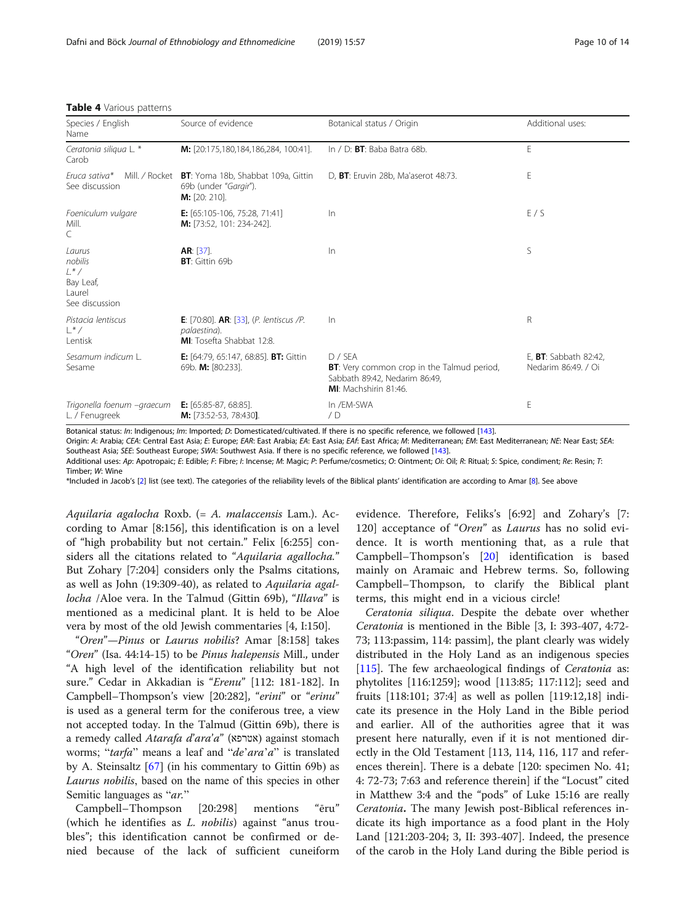| Species / English<br>Name                                            | Source of evidence                                                                                              | Botanical status / Origin                                                                                         | Additional uses:                                     |
|----------------------------------------------------------------------|-----------------------------------------------------------------------------------------------------------------|-------------------------------------------------------------------------------------------------------------------|------------------------------------------------------|
| Ceratonia siliqua L. *<br>Carob                                      | M: [20:175,180,184,186,284, 100:41].                                                                            | In $/$ D: <b>BT</b> : Baba Batra 68b.                                                                             | E                                                    |
| Mill. / Rocket<br>Fruca sativa*<br>See discussion                    | <b>BT</b> : Yoma 18b, Shabbat 109a, Gittin<br>69b (under "Gargir").<br><b>M:</b> [20: 210].                     | D, BT: Eruvin 28b, Ma'aserot 48:73.                                                                               | E                                                    |
| Foeniculum vulgare<br>Mill.<br>C                                     | <b>E:</b> $[65:105-106, 75:28, 71:41]$<br>M: [73:52, 101: 234-242].                                             | $\ln$                                                                                                             | E/S                                                  |
| Laurus<br>nobilis<br>$L^*/$<br>Bay Leaf,<br>Laurel<br>See discussion | $AR: [37]$ .<br><b>BT:</b> Gittin 69b                                                                           | $\ln$                                                                                                             | S                                                    |
| Pistacia lentiscus<br>$\frac{1}{2}$ $\frac{1}{2}$<br>Lentisk         | <b>E</b> : [70:80]. <b>AR</b> : $[33]$ , ( <i>P. lentiscus /P.</i><br>palaestina).<br>MI: Tosefta Shabbat 12:8. | $\ln$                                                                                                             | R                                                    |
| Sesamum indicum L.<br>Sesame                                         | <b>E:</b> [64:79, 65:147, 68:85]. <b>BT:</b> Gittin<br>69b. M: [80:233].                                        | $D /$ SFA<br>BT: Very common crop in the Talmud period,<br>Sabbath 89:42, Nedarim 86:49,<br>MI: Machshirin 81:46. | E, <b>BT</b> : Sabbath 82:42,<br>Nedarim 86:49. / Oi |
| Trigonella foenum –graecum<br>L. / Fenugreek                         | <b>E:</b> $[65:85-87, 68:85]$ .<br>M: [73:52-53, 78:430].                                                       | In /EM-SWA<br>/D                                                                                                  | E                                                    |

#### <span id="page-9-0"></span>Table 4 Various patterns

Botanical status: In: Indigenous; Im: Imported; D: Domesticated/cultivated. If there is no specific reference, we followed [[143](#page-13-0)].

Origin: A: Arabia; CEA: Central East Asia; E: Europe; EAR: East Arabia; EA: East Asia; EAf: East Africa; M: Mediterranean; EM: East Mediterranean; NE: Near East; SEA: Southeast Asia; SEE: Southeast Europe; SWA: Southwest Asia. If there is no specific reference, we followed [[143](#page-13-0)].

Additional uses: Ap: Apotropaic; E: Edible; F: Fibre; I: Incense; M: Magic; P: Perfume/cosmetics; O: Ointment; Oi: Oil; R: Ritual; S: Spice, condiment; Re: Resin; T: Timber; W: Wine

\*Included in Jacob's [[2](#page-11-0)] list (see text). The categories of the reliability levels of the Biblical plants' identification are according to Amar [[8](#page-11-0)]. See above

Aquilaria agalocha Roxb. (= A. malaccensis Lam.). According to Amar [8:156], this identification is on a level of "high probability but not certain." Felix [6:255] considers all the citations related to "Aquilaria agallocha." But Zohary [7:204] considers only the Psalms citations, as well as John (19:309-40), as related to Aquilaria agallocha /Aloe vera. In the Talmud (Gittin 69b), "Illava" is mentioned as a medicinal plant. It is held to be Aloe vera by most of the old Jewish commentaries [4, I:150].

"Oren"—Pinus or Laurus nobilis? Amar [8:158] takes "Oren" (Isa. 44:14-15) to be Pinus halepensis Mill., under "A high level of the identification reliability but not sure." Cedar in Akkadian is "Erenu" [112: 181-182]. In Campbell–Thompson's view [20:282], "erini" or "erinu" is used as a general term for the coniferous tree, a view not accepted today. In the Talmud (Gittin 69b), there is a remedy called Atarafa d'ara'a" (אטרפא) against stomach worms; "tarfa" means a leaf and "de'ara'a" is translated by A. Steinsaltz [[67\]](#page-12-0) (in his commentary to Gittin 69b) as Laurus nobilis, based on the name of this species in other Semitic languages as "ar."

Campbell–Thompson [20:298] mentions "ēru" (which he identifies as *L. nobilis*) against "anus troubles"; this identification cannot be confirmed or denied because of the lack of sufficient cuneiform evidence. Therefore, Feliks's [6:92] and Zohary's [7: 120] acceptance of "Oren" as Laurus has no solid evidence. It is worth mentioning that, as a rule that Campbell–Thompson's [[20\]](#page-11-0) identification is based mainly on Aramaic and Hebrew terms. So, following Campbell–Thompson, to clarify the Biblical plant terms, this might end in a vicious circle!

Ceratonia siliqua. Despite the debate over whether Ceratonia is mentioned in the Bible [3, I: 393-407, 4:72- 73; 113:passim, 114: passim], the plant clearly was widely distributed in the Holy Land as an indigenous species [[115\]](#page-13-0). The few archaeological findings of Ceratonia as: phytolites [116:1259]; wood [113:85; 117:112]; seed and fruits [118:101; 37:4] as well as pollen [119:12,18] indicate its presence in the Holy Land in the Bible period and earlier. All of the authorities agree that it was present here naturally, even if it is not mentioned directly in the Old Testament [113, 114, 116, 117 and references therein]. There is a debate [120: specimen No. 41; 4: 72-73; 7:63 and reference therein] if the "Locust" cited in Matthew 3:4 and the "pods" of Luke 15:16 are really Ceratonia. The many Jewish post-Biblical references indicate its high importance as a food plant in the Holy Land [121:203-204; 3, II: 393-407]. Indeed, the presence of the carob in the Holy Land during the Bible period is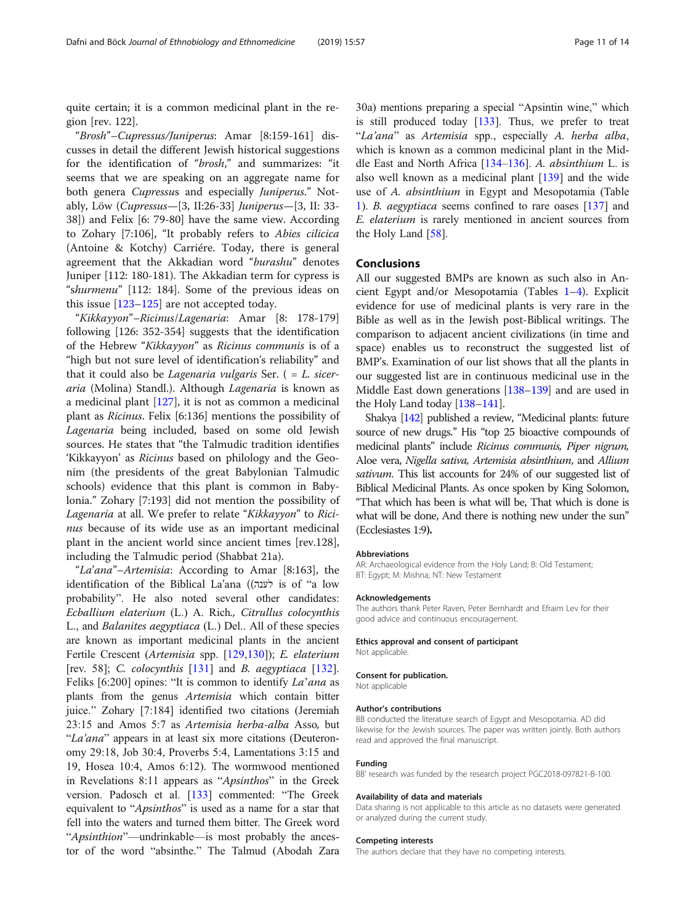quite certain; it is a common medicinal plant in the region [rev. 122].

"Brosh"–Cupressus/Juniperus: Amar [8:159-161] discusses in detail the different Jewish historical suggestions for the identification of "brosh," and summarizes: "it seems that we are speaking on an aggregate name for both genera Cupressus and especially Juniperus." Notably, Löw (Cupressus—[3, II:26-33] Juniperus—[3, II: 33- 38]) and Felix [6: 79-80] have the same view. According to Zohary [7:106], "It probably refers to Abies cilicica (Antoine & Kotchy) Carriére. Today, there is general agreement that the Akkadian word "burashu" denotes Juniper [112: 180-181). The Akkadian term for cypress is "shurmenu" [112: 184]. Some of the previous ideas on this issue [\[123](#page-13-0)–[125\]](#page-13-0) are not accepted today.

"Kikkayyon"–Ricinus/Lagenaria: Amar [8: 178-179] following [126: 352-354] suggests that the identification of the Hebrew "Kikkayyon" as Ricinus communis is of a "high but not sure level of identification's reliability" and that it could also be *Lagenaria vulgaris* Ser.  $( = L. \text{ sicer-}$ aria (Molina) Standl.). Although Lagenaria is known as a medicinal plant [\[127\]](#page-13-0), it is not as common a medicinal plant as Ricinus. Felix [6:136] mentions the possibility of Lagenaria being included, based on some old Jewish sources. He states that "the Talmudic tradition identifies 'Kikkayyon' as Ricinus based on philology and the Geonim (the presidents of the great Babylonian Talmudic schools) evidence that this plant is common in Babylonia." Zohary [7:193] did not mention the possibility of Lagenaria at all. We prefer to relate "Kikkayyon" to Ricinus because of its wide use as an important medicinal plant in the ancient world since ancient times [rev.128], including the Talmudic period (Shabbat 21a).

"La'ana"–Artemisia: According to Amar [8:163], the identification of the Biblical La'ana ((לענה is of "a low probability". He also noted several other candidates: Ecballium elaterium (L.) A. Rich., Citrullus colocynthis L., and Balanites aegyptiaca (L.) Del.. All of these species are known as important medicinal plants in the ancient Fertile Crescent (Artemisia spp. [[129](#page-13-0),[130](#page-13-0)]); E. elaterium [rev. 58]; C. colocynthis [[131](#page-13-0)] and B. aegyptiaca [\[132\]](#page-13-0). Feliks [6:200] opines: "It is common to identify La'ana as plants from the genus Artemisia which contain bitter juice." Zohary [7:184] identified two citations (Jeremiah 23:15 and Amos 5:7 as Artemisia herba-alba Asso, but "La'ana" appears in at least six more citations (Deuteronomy 29:18, Job 30:4, Proverbs 5:4, Lamentations 3:15 and 19, Hosea 10:4, Amos 6:12). The wormwood mentioned in Revelations 8:11 appears as "Apsinthos" in the Greek version. Padosch et al. [[133](#page-13-0)] commented: "The Greek equivalent to "Apsinthos" is used as a name for a star that fell into the waters and turned them bitter. The Greek word "Apsinthion"—undrinkable—is most probably the ancestor of the word "absinthe." The Talmud (Abodah Zara

30a) mentions preparing a special "Apsintin wine," which is still produced today [\[133\]](#page-13-0). Thus, we prefer to treat "La'ana" as Artemisia spp., especially A. herba alba, which is known as a common medicinal plant in the Middle East and North Africa  $[134-136]$  $[134-136]$  $[134-136]$  $[134-136]$ . A. absinthium L. is also well known as a medicinal plant [\[139\]](#page-13-0) and the wide use of A. absinthium in Egypt and Mesopotamia (Table [1\)](#page-4-0). B. aegyptiaca seems confined to rare oases [[137](#page-13-0)] and E. elaterium is rarely mentioned in ancient sources from the Holy Land [\[58\]](#page-12-0).

#### Conclusions

All our suggested BMPs are known as such also in Ancient Egypt and/or Mesopotamia (Tables [1](#page-4-0)–[4](#page-9-0)). Explicit evidence for use of medicinal plants is very rare in the Bible as well as in the Jewish post-Biblical writings. The comparison to adjacent ancient civilizations (in time and space) enables us to reconstruct the suggested list of BMP's. Examination of our list shows that all the plants in our suggested list are in continuous medicinal use in the Middle East down generations [\[138](#page-13-0)–[139](#page-13-0)] and are used in the Holy Land today [\[138](#page-13-0)–[141](#page-13-0)].

Shakya [[142](#page-13-0)] published a review, "Medicinal plants: future source of new drugs." His "top 25 bioactive compounds of medicinal plants" include Ricinus communis, Piper nigrum, Aloe vera, Nigella sativa, Artemisia absinthium, and Allium sativum. This list accounts for 24% of our suggested list of Biblical Medicinal Plants. As once spoken by King Solomon, "That which has been is what will be, That which is done is what will be done, And there is nothing new under the sun" (Ecclesiastes 1:9).

#### Abbreviations

AR: Archaeological evidence from the Holy Land; B: Old Testament; BT: Egypt; M: Mishna; NT: New Testament

#### Acknowledgements

The authors thank Peter Raven, Peter Bernhardt and Efraim Lev for their good advice and continuous encouragement.

#### Ethics approval and consent of participant

Not applicable.

#### Consent for publication.

Not applicable

#### Author's contributions

BB conducted the literature search of Egypt and Mesopotamia. AD did likewise for the Jewish sources. The paper was written jointly. Both authors read and approved the final manuscript.

#### Funding

BB' research was funded by the research project PGC2018-097821-B-100.

#### Availability of data and materials

Data sharing is not applicable to this article as no datasets were generated or analyzed during the current study.

#### Competing interests

The authors declare that they have no competing interests.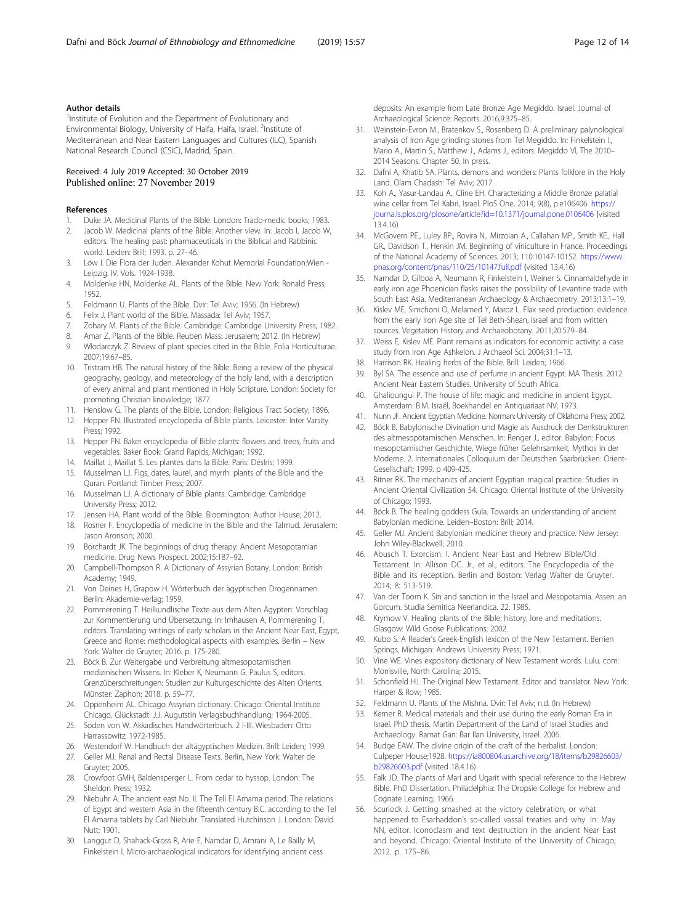#### <span id="page-11-0"></span>Author details

<sup>1</sup> Institute of Evolution and the Department of Evolutionary and Environmental Biology, University of Haifa, Haifa, Israel. <sup>2</sup>Institute of Mediterranean and Near Eastern Languages and Cultures (ILC), Spanish National Research Council (CSIC), Madrid, Spain.

#### Received: 4 July 2019 Accepted: 30 October 2019 Published online: 27 November 2019

#### References

- Duke JA. Medicinal Plants of the Bible. London: Trado-medic books; 1983. Jacob W. Medicinal plants of the Bible: Another view. In: Jacob I, Jacob W,
- editors. The healing past: pharmaceuticals in the Biblical and Rabbinic world. Leiden: Brill; 1993. p. 27–46.
- 3. Löw I. Die Flora der Juden. Alexander Kohut Memorial Foundation:Wien Leipzig. IV. Vols. 1924-1938.
- 4. Moldenke HN, Moldenke AL. Plants of the Bible. New York: Ronald Press; 1952.
- 5. Feldmann U. Plants of the Bible. Dvir: Tel Aviv; 1956. (In Hebrew)
- 6. Felix J. Plant world of the Bible. Massada: Tel Aviv; 1957.
- Zohary M. Plants of the Bible. Cambridge: Cambridge University Press; 1982.
- 8. Amar Z. Plants of the Bible. Reuben Mass: Jerusalem; 2012. (In Hebrew)
- 9. Włodarczyk Z. Review of plant species cited in the Bible. Folia Horticulturae. 2007;19:67–85.
- 10. Tristram HB. The natural history of the Bible: Being a review of the physical geography, geology, and meteorology of the holy land, with a description of every animal and plant mentioned in Holy Scripture. London: Society for promoting Christian knowledge; 1877.
- 11. Henslow G. The plants of the Bible. London: Religious Tract Society; 1896.
- 12. Hepper FN. Illustrated encyclopedia of Bible plants. Leicester: Inter Varsity Press; 1992.
- 13. Hepper FN. Baker encyclopedia of Bible plants: flowers and trees, fruits and vegetables. Baker Book: Grand Rapids, Michigan; 1992.
- 14. Maillat J, Maillat S. Les plantes dans la Bible. Paris: DésIris; 1999.
- 15. Musselman LJ. Figs, dates, laurel, and myrrh: plants of the Bible and the Quran. Portland: Timber Press; 2007.
- 16. Musselman LJ. A dictionary of Bible plants. Cambridge: Cambridge University Press; 2012.
- 17. Jensen HA. Plant world of the Bible. Bloomington: Author House; 2012.
- 18. Rosner F. Encyclopedia of medicine in the Bible and the Talmud. Jerusalem: Jason Aronson; 2000.
- 19. Borchardt JK. The beginnings of drug therapy: Ancient Mesopotamian medicine. Drug News Prospect. 2002;15:187–92.
- 20. Campbell-Thompson R. A Dictionary of Assyrian Botany. London: British Academy; 1949.
- 21. Von Deines H, Grapow H. Wörterbuch der ägyptischen Drogennamen. Berlin: Akademie-verlag; 1959.
- 22. Pommerening T. Heilkundlische Texte aus dem Alten Ägypten: Vorschlag zur Kommentierung und Übersetzung. In: Imhausen A, Pommerening T, editors. Translating writings of early scholars in the Ancient Near East, Egypt, Greece and Rome: methodological aspects with examples. Berlin – New York: Walter de Gruyter; 2016. p. 175-280.
- 23. Böck B. Zur Weitergabe und Verbreitung altmesopotamischen medizinischen Wissens. In: Kleber K, Neumann G, Paulus S, editors. Grenzüberschreitungen: Studien zur Kulturgeschichte des Alten Orients. Münster: Zaphon; 2018. p. 59–77.
- 24. Oppenheim AL. Chicago Assyrian dictionary. Chicago: Oriental Institute Chicago. Glückstadt: J.J. Augutstin Verlagsbuchhandlung; 1964-2005.
- 25. Soden von W. Akkadisches Handwörterbuch. 2 I-III. Wiesbaden: Otto Harrassowitz; 1972-1985.
- 26. Westendorf W. Handbuch der altägyptischen Medizin. Brill: Leiden; 1999.
- 27. Geller MJ. Renal and Rectal Disease Texts. Berlin, New York: Walter de Gruyter; 2005.
- 28. Crowfoot GMH, Baldensperger L. From cedar to hyssop. London: The Sheldon Press; 1932.
- 29. Niebuhr A. The ancient east No. II. The Tell El Amarna period. The relations of Egypt and western Asia in the fifteenth century B.C. according to the Tel El Amarna tablets by Carl Niebuhr. Translated Hutchinson J. London: David Nutt; 1901.
- 30. Langgut D, Shahack-Gross R, Arie E, Namdar D, Amrani A, Le Bailly M, Finkelstein I. Micro-archaeological indicators for identifying ancient cess

deposits: An example from Late Bronze Age Megiddo. Israel. Journal of Archaeological Science: Reports. 2016;9:375–85.

- 31. Weinstein-Evron M., Bratenkov S., Rosenberg D. A preliminary palynological analysis of Iron Age grinding stones from Tel Megiddo. In: Finkelstein I., Mario A., Martin S., Matthew J., Adams J., editors. Megiddo VI, The 2010– 2014 Seasons. Chapter 50. In press.
- 32. Dafni A, Khatib SA. Plants, demons and wonders: Plants folklore in the Holy Land. Olam Chadash: Tel Aviv; 2017.
- 33. Koh A., Yasur-Landau A., Cline EH. Characterizing a Middle Bronze palatial wine cellar from Tel Kabri, Israel. PloS One, 2014; 9(8), p.e106406. [https://](https://journa.ls.plos.org/plosone/article?id=10.1371/journal.pone.0106406) [journa.ls.plos.org/plosone/article?id=10.1371/journal.pone.0106406](https://journa.ls.plos.org/plosone/article?id=10.1371/journal.pone.0106406) (visited 13.4.16)
- 34. McGovern PE., Luley BP., Rovira N., Mirzoian A., Callahan MP., Smith KE., Hall GR., Davidson T., Henkin JM. Beginning of viniculture in France. Proceedings of the National Academy of Sciences. 2013; 110:10147-10152. [https://www.](https://www.pnas.org/content/pnas/110/25/10147.full.pdf) [pnas.org/content/pnas/110/25/10147.full.pdf](https://www.pnas.org/content/pnas/110/25/10147.full.pdf) (visited 13.4.16)
- 35. Namdar D, Gilboa A, Neumann R, Finkelstein I, Weiner S. Cinnamaldehyde in early iron age Phoenician flasks raises the possibility of Levantine trade with South East Asia. Mediterranean Archaeology & Archaeometry. 2013;13:1–19.
- 36. Kislev ME, Simchoni O, Melamed Y, Maroz L. Flax seed production: evidence from the early Iron Age site of Tel Beth-Shean, Israel and from written sources. Vegetation History and Archaeobotany. 2011;20:579–84.
- 37. Weiss E, Kislev ME. Plant remains as indicators for economic activity: a case study from Iron Age Ashkelon. J Archaeol Sci. 2004;31:1–13.
- Harrison RK. Healing herbs of the Bible. Brill: Leiden; 1966.
- 39. Byl SA. The essence and use of perfume in ancient Egypt. MA Thesis. 2012. Ancient Near Eastern Studies. University of South Africa.
- 40. Ghalioungui P. The house of life: magic and medicine in ancient Egypt. Amsterdam: B.M. Israël, Boekhandel en Antiquariaat NV; 1973.
- 41. Nunn JF. Ancient Egyptian Medicine. Norman: University of Oklahoma Press; 2002.
- 42. Böck B. Babylonische Divination und Magie als Ausdruck der Denkstrukturen des altmesopotamischen Menschen. In: Renger J., editor. Babylon: Focus mesopotamischer Geschichte, Wiege früher Gelehrsamkeit, Mythos in der Moderne. 2. Internationales Colloquium der Deutschen Saarbrücken: Orient-Gesellschaft; 1999. p 409-425.
- 43. Ritner RK. The mechanics of ancient Egyptian magical practice. Studies in Ancient Oriental Civilization 54. Chicago: Oriental Institute of the University of Chicago; 1993.
- 44. Böck B. The healing goddess Gula. Towards an understanding of ancient Babylonian medicine. Leiden–Boston: Brill; 2014.
- 45. Geller MJ. Ancient Babylonian medicine: theory and practice. New Jersey: John Wiley-Blackwell; 2010.
- 46. Abusch T. Exorcism. I. Ancient Near East and Hebrew Bible/Old Testament. In: Allison DC. Jr., et al., editors. The Encyclopedia of the Bible and its reception. Berlin and Boston: Verlag Walter de Gruyter. 2014; 8: 513-519.
- 47. Van der Toorn K. Sin and sanction in the Israel and Mesopotamia. Assen: an Gorcum. Studia Semitica Neerlandica. 22. 1985.
- 48. Krymow V. Healing plants of the Bible: history, lore and meditations. Glasgow: Wild Goose Publications; 2002.
- 49. Kubo S. A Reader's Greek-English lexicon of the New Testament. Berrien Springs, Michigan: Andrews University Press; 1971.
- 50. Vine WE. Vines expository dictionary of New Testament words. Lulu. com: Morrisville, North Carolina; 2015.
- 51. Schonfield HJ. The Original New Testament. Editor and translator. New York: Harper & Row: 1985.
- 52. Feldmann U. Plants of the Mishna. Dvir: Tel Aviv; n.d. (In Hebrew)
- Kerner R. Medical materials and their use during the early Roman Era in Israel. PhD thesis. Martin Department of the Land of Israel Studies and Archaeology. Ramat Gan: Bar Ilan University, Israel. 2006.
- 54. Budge EAW. The divine origin of the craft of the herbalist. London: Culpeper House;1928. [https://ia800804.us.archive.org/18/items/b29826603/](https://ia800804.us.archive.org/18/items/b29826603/b29826603.pdf) [b29826603.pdf](https://ia800804.us.archive.org/18/items/b29826603/b29826603.pdf) (visited 18.4.16)
- 55. Falk JD. The plants of Mari and Ugarit with special reference to the Hebrew Bible. PhD Dissertation. Philadelphia: The Dropsie College for Hebrew and Cognate Learning; 1966.
- 56. Scurlock J. Getting smashed at the victory celebration, or what happened to Esarhaddon's so-called vassal treaties and why. In: May NN, editor. Iconoclasm and text destruction in the ancient Near East and beyond. Chicago: Oriental Institute of the University of Chicago; 2012. p. 175–86.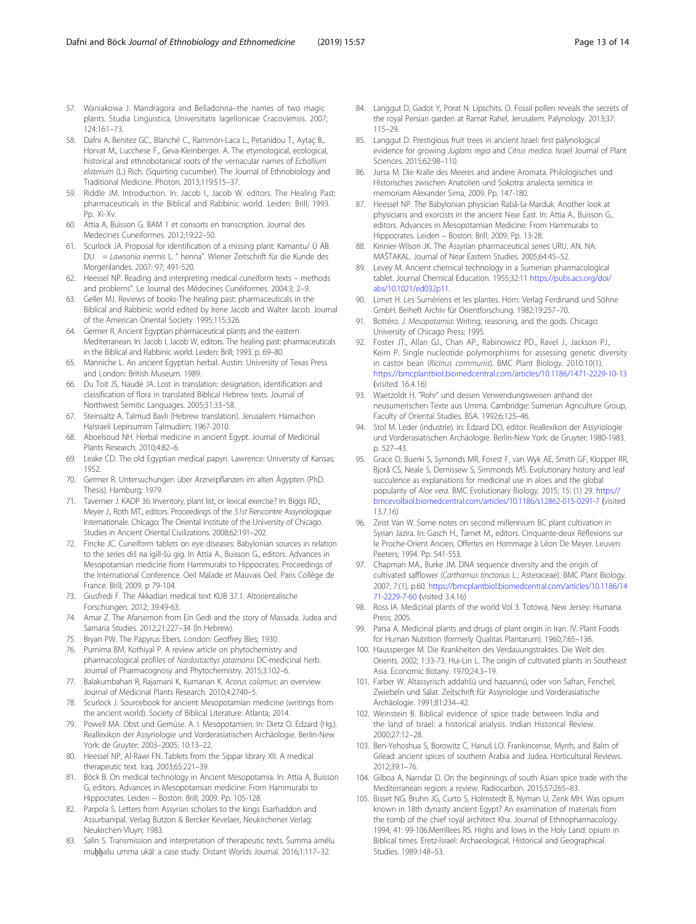- <span id="page-12-0"></span>57. Waniakowa J. Mandragora and Belladonna–the names of two magic plants. Studia Linguistica, Universitatis Iagellonicae Cracoviensis. 2007; 124:161–73.
- 58. Dafni A. Benítez GC., Blanché C., Rammón-Laca L., Petanidou T., Aytaç B., Horvat M., Lucchese F., Geva-Kleinberger. A. The etymological, ecological, historical and ethnobotanical roots of the vernacular names of Ecballium elaterium (L.) Rich. (Squirting cucumber). The Journal of Ethnobiology and Traditional Medicine. Photon. 2013;119:515–37.
- 59. Riddle JM. Introduction. In: Jacob I., Jacob W. editors. The Healing Past: pharmaceuticals in the Biblical and Rabbinic world. Leiden: Brill; 1993. Pp. Xi-Xv.
- 60. Attia A, Buisson G. BAM 1 et consorts en transcription. Journal des Medecines Cuneiformes. 2012;19:22–50.
- 61. Scurlock JA. Proposal for identification of a missing plant: Kamantu/ Ú ÁB. DU = Lawsonia inermis L. " henna". Wiener Zeitschrift für die Kunde des Morgenlandes. 2007: 97; 491-520.
- 62. Heessel NP. Reading and interpreting medical cuneiform texts methods and problems". Le Journal des Médecines Cunéiformes. 2004:3; 2–9.
- 63. Geller MJ. Reviews of books-The healing past: pharmaceuticals in the Biblical and Rabbinic world edited by Irene Jacob and Walter Jacob. Journal of the American Oriental Society. 1995;115:326.
- 64. Germer R. Ancient Egyptian pharmaceutical plants and the eastern Mediterranean. In: Jacob I, Jacob W, editors. The healing past: pharmaceuticals in the Biblical and Rabbinic world. Leiden: Brill; 1993. p. 69–80.
- 65. Manniche L. An ancient Egyptian herbal. Austin: University of Texas Press and London: British Museum. 1989.
- 66. Du Toit JS, Naudé JA. Lost in translation: designation, identification and classification of flora in translated Biblical Hebrew texts. Journal of Northwest Semitic Languages. 2005;31:33–58.
- 67. Steinsaltz A. Talmud Bavli (Hebrew translation). Jerusalem: Hamachon HaIsraeli Lepirsumim Talmudiim; 1967-2010.
- 68. Aboelsoud NH. Herbal medicine in ancient Egypt. Journal of Medicinal Plants Research. 2010;4:82–6.
- 69. Leake CD. The old Egyptian medical papyri. Lawrence: University of Kansas; 1952.
- 70. Germer R. Untersuchungen über Arzneipflanzen im alten Ägypten (PhD. Thesis). Hamburg; 1979.
- 71. Tavernier J. KADP 36: Inventory, plant list, or lexical exercise? In: Biggs RD., Meyer J., Roth MT., editors. Proceedings of the 51st Rencontre Assyriologique Internationale. Chicago: The Oriental Institute of the University of Chicago. Studies in Ancient Oriental Civilizations. 2008;62:191–202.
- 72. Fincke JC. Cuneiform tablets on eye diseases: Babylonian sources in relation to the series diš na igiII-šú gig. In Attia A., Buisson G., editors. Advances in Mesopotamian medicine from Hammurabi to Hippocrates: Proceedings of the International Conference. Oeil Malade et Mauvais Oeil. Paris Collège de France. Brill; 2009. p 79-104.
- 73. Giusfredi F. The Akkadian medical text KUB 37.1. Altorientalische Forschungen. 2012; 39:49-63.
- 74. Amar Z. The Afarsemon from Ein Gedi and the story of Massada. Judea and Samaria Studies. 2012;21:227–34 (In Hebrew).
- 75. Bryan PW. The Papyrus Ebers. London: Geoffrey Bles; 1930.
- 76. Purnima BM, Kothiyal P. A review article on phytochemistry and pharmacological profiles of Nardostachys jatamansi DC-medicinal herb. Journal of Pharmacognosy and Phytochemistry. 2015;3:102–6.
- 77. Balakumbahan R, Rajamani K, Kumanan K. Acorus calamus: an overview. Journal of Medicinal Plants Research. 2010;4:2740–5.
- 78. Scurlock J. Sourcebook for ancient Mesopotamian medicine (writings from the ancient world). Society of Biblical Literature: Atlanta; 2014.
- 79. Powell MA. Obst und Gemüse. A. I. Mesopotamien. In: Dietz O. Edzard (Hg.). Reallexikon der Assyriologie und Vorderasiatischen Archäologie. Berlin-New York: de Gruyter; 2003–2005; 10:13–22.
- 80. Heessel NP, Al-Rawi FN. Tablets from the Sippar library XII. A medical therapeutic text. Iraq. 2003;65:221–39.
- 81. Böck B. On medical technology in Ancient Mesopotamia. In: Attia A, Buisson G, editors. Advances in Mesopotamian medicine: From Hammurabi to Hippocrates. Leiden – Boston: Brill; 2009. Pp. 105-128.
- 82. Parpola S. Letters from Assyrian scholars to the kings Esarhaddon and Assurbanipal. Verlag Butzon & Bercker Kevelaer, Neukirchener Verlag: Neukirchen-Vluyn; 1983.
- 83. Salin S. Transmission and interpretation of therapeutic texts. Šumma amēlu muḫḫašu umma ukāl: a case study. Distant Worlds Journal. 2016;1:117–32.
- 84. Langgut D, Gadot Y, Porat N. Lipschits. O. Fossil pollen reveals the secrets of the royal Persian garden at Ramat Rahel, Jerusalem. Palynology. 2013;37: 115–29.
- 85. Langgut D. Prestigious fruit trees in ancient Israel: first palynological evidence for growing Juglans regia and Citrus medica. Israel Journal of Plant Sciences. 2015;62:98–110.
- 86. Jursa M. Die Kralle des Meeres and andere Aromata. Philologisches und Historisches zwischen Anatolien und Sokotra: analecta semitica in memoriam Alexander Sima, 2009. Pp. 147-180.
- 87. Heessel NP. The Babylonian physician Rabâ-ša-Marduk. Another look at physicians and exorcists in the ancient Near East. In: Attia A., Buisson G., editors. Advances in Mesopotamian Medicine: From Hammurabi to Hippocrates. Leiden – Boston: Brill; 2009. Pp. 13-28.
- 88. Kinnier-Wilson JK. The Assyrian pharmaceutical series URU. AN. NA: MAŠTAKAL. Journal of Near Eastern Studies. 2005;64:45–52.
- 89. Levey M. Ancient chemical technology in a Sumerian pharmacological tablet. Journal Chemical Education. 1955;32:11 [https://pubs.acs.org/doi/](https://pubs.acs.org/doi/abs/10.1021/ed032p11) [abs/10.1021/ed032p11](https://pubs.acs.org/doi/abs/10.1021/ed032p11).
- 90. Limet H. Les Sumériens et les plantes. Horn: Verlag Ferdinand und Söhne GmbH. Beiheft Archiv für Orientforschung. 1982;19:257–70.
- 91. Bottéro, J. Mesopotamia: Writing, reasoning, and the gods. Chicago: University of Chicago Press; 1995.
- 92. Foster JT., Allan GJ., Chan AP., Rabinowicz PD., Ravel J., Jackson PJ., Keim P. Single nucleotide polymorphisms for assessing genetic diversity in castor bean (Ricinus communis). BMC Plant Biology. 2010.10(1). <https://bmcplantbiol.biomedcentral.com/articles/10.1186/1471-2229-10-13> (visited 16.4.16)
- 93. Waetzoldt H. "Rohr" und dessen Verwendungsweisen anhand der neusumerischen Texte aus Umma. Cambridge: Sumerian Agriculture Group, Faculty of Oriental Studies. BSA. 1992;6:125–46.
- 94. Stol M. Leder (industrie). In: Edzard DO, editor. Reallexikon der Assyriologie und Vorderasiatischen Archäologie. Berlin-New York: de Gruyter; 1980-1983. p. 527–43.
- 95. Grace O, Buerki S, Symonds MR, Forest F, van Wyk AE, Smith GF, Klopper RR, Bjorå CS, Neale S, Demissew S, Simmonds MS. Evolutionary history and leaf succulence as explanations for medicinal use in aloes and the global popularity of Aloe vera. BMC Evolutionary Biology. 2015; 15: (1) 29. [https://](https://bmcevolbiol.biomedcentral.com/articles/10.1186/s12862-015-0291-7) [bmcevolbiol.biomedcentral.com/articles/10.1186/s12862-015-0291-7](https://bmcevolbiol.biomedcentral.com/articles/10.1186/s12862-015-0291-7) (visited 13.7.16)
- 96. Zeist Van W. Some notes on second millennium BC plant cultivation in Syrian Jazira. In: Gasch H., Tarnet M., editors. Cinquante-deux Réflexions sur le Proche-Orient Ancien, Offertes en Hommage à Léon De Meyer. Leuven: Peeters; 1994. Pp. 541-553.
- 97. Chapman MA., Burke JM. DNA sequence diversity and the origin of cultivated safflower (Carthamus tinctorius L.; Asteraceae). BMC Plant Biology. 2007; 7:(1), p.60. [https://bmcplantbiol.biomedcentral.com/articles/10.1186/14](https://bmcplantbiol.biomedcentral.com/articles/10.1186/1471-2229-7-60) [71-2229-7-60](https://bmcplantbiol.biomedcentral.com/articles/10.1186/1471-2229-7-60) (visited 3.4.16)
- 98. Ross IA. Medicinal plants of the world Vol 3. Totowa, New Jersey: Humana Press; 2005.
- 99. Parsa A. Medicinal plants and drugs of plant origin in Iran. IV. Plant Foods for Human Nutrition (formerly Qualitas Plantarum). 1960;7:65–136.
- 100. Haussperger M. Die Krankheiten des Verdauungstraktes. Die Welt des Orients. 2002; 1:33-73. Hui-Lin L. The origin of cultivated plants in Southeast Asia. Economic Botany. 1970;24:3–19.
- 101. Farber W. Altassyrisch addahšū und hazuannū, oder von Safran, Fenchel, Zwiebeln und Salat. Zeitschrift für Assyriologie und Vorderasiatische Archäologie. 1991;81:234–42.
- 102. Weinstein B. Biblical evidence of spice trade between India and the land of Israel: a historical analysis. Indian Historical Review. 2000;27:12–28.
- 103. Ben-Yehoshua S, Borowitz C, Hanuš LO. Frankincense, Myrrh, and Balm of Gilead: ancient spices of southern Arabia and Judea. Horticultural Reviews. 2012;39:1–76.
- 104. Gilboa A, Namdar D. On the beginnings of south Asian spice trade with the Mediterranean region: a review. Radiocarbon. 2015;57:265–83.
- 105. Bisset NG, Bruhn JG, Curto S, Holmstedt B, Nyman U, Zenk MH. Was opium known in 18th dynasty ancient Egypt? An examination of materials from the tomb of the chief royal architect Kha. Journal of Ethnopharmacology. 1994; 41: 99-106.Merrillees RS. Highs and lows in the Holy Land: opium in Biblical times. Eretz-Israel: Archaeological, Historical and Geographical. Studies. 1989:148–53.